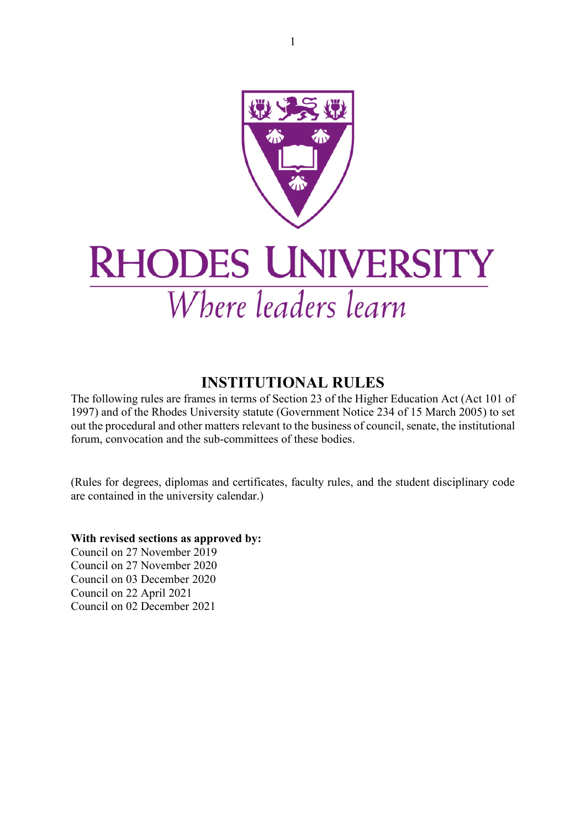

# **RHODES UNIVERSITY** Where leaders learn

### **INSTITUTIONAL RULES**

<span id="page-0-0"></span>The following rules are frames in terms of Section 23 of the Higher Education Act (Act 101 of 1997) and of the Rhodes University statute (Government Notice 234 of 15 March 2005) to set out the procedural and other matters relevant to the business of council, senate, the institutional forum, convocation and the sub-committees of these bodies.

(Rules for degrees, diplomas and certificates, faculty rules, and the student disciplinary code are contained in the university calendar.)

**With revised sections as approved by:**

Council on 27 November 2019 Council on 27 November 2020 Council on 03 December 2020 Council on 22 April 2021 Council on 02 December 2021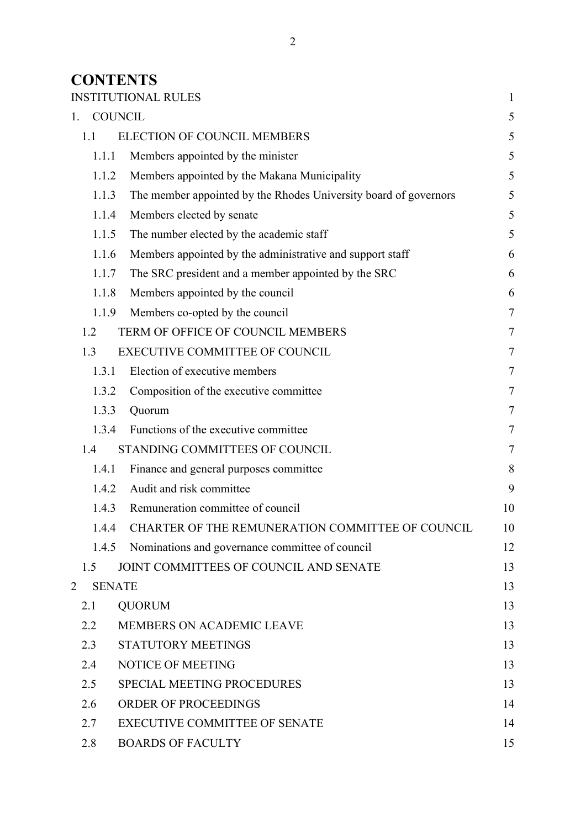### **CONTENTS**

|                |               | <b>INSTITUTIONAL RULES</b>                                       | $\mathbf{1}$ |
|----------------|---------------|------------------------------------------------------------------|--------------|
| 1.             |               | <b>COUNCIL</b>                                                   | 5            |
|                | 1.1           | <b>ELECTION OF COUNCIL MEMBERS</b>                               | 5            |
|                | 1.1.1         | Members appointed by the minister                                | 5            |
|                | 1.1.2         | Members appointed by the Makana Municipality                     | 5            |
|                | 1.1.3         | The member appointed by the Rhodes University board of governors | 5            |
|                | 1.1.4         | Members elected by senate                                        | 5            |
|                | 1.1.5         | The number elected by the academic staff                         | 5            |
|                | 1.1.6         | Members appointed by the administrative and support staff        | 6            |
|                | 1.1.7         | The SRC president and a member appointed by the SRC              | 6            |
|                | 1.1.8         | Members appointed by the council                                 | 6            |
|                | 1.1.9         | Members co-opted by the council                                  | 7            |
|                | 1.2           | TERM OF OFFICE OF COUNCIL MEMBERS                                | $\tau$       |
|                | 1.3           | <b>EXECUTIVE COMMITTEE OF COUNCIL</b>                            | 7            |
|                | 1.3.1         | Election of executive members                                    | 7            |
|                | 1.3.2         | Composition of the executive committee                           | 7            |
|                | 1.3.3         | Quorum                                                           | $\tau$       |
|                | 1.3.4         | Functions of the executive committee                             | 7            |
|                | 1.4           | STANDING COMMITTEES OF COUNCIL                                   | $\tau$       |
|                | 1.4.1         | Finance and general purposes committee                           | 8            |
|                | 1.4.2         | Audit and risk committee                                         | 9            |
|                | 1.4.3         | Remuneration committee of council                                | 10           |
|                | 1.4.4         | CHARTER OF THE REMUNERATION COMMITTEE OF COUNCIL                 | 10           |
|                | 1.4.5         | Nominations and governance committee of council                  | 12           |
|                | 1.5           | JOINT COMMITTEES OF COUNCIL AND SENATE                           | 13           |
| $\overline{2}$ | <b>SENATE</b> |                                                                  | 13           |
|                | 2.1           | <b>QUORUM</b>                                                    | 13           |
|                | 2.2           | MEMBERS ON ACADEMIC LEAVE                                        | 13           |
|                | 2.3           | <b>STATUTORY MEETINGS</b>                                        | 13           |
|                | 2.4           | NOTICE OF MEETING                                                | 13           |
|                | 2.5           | SPECIAL MEETING PROCEDURES                                       | 13           |
|                | 2.6           | <b>ORDER OF PROCEEDINGS</b>                                      | 14           |
|                | 2.7           | <b>EXECUTIVE COMMITTEE OF SENATE</b>                             | 14           |
|                | 2.8           | <b>BOARDS OF FACULTY</b>                                         | 15           |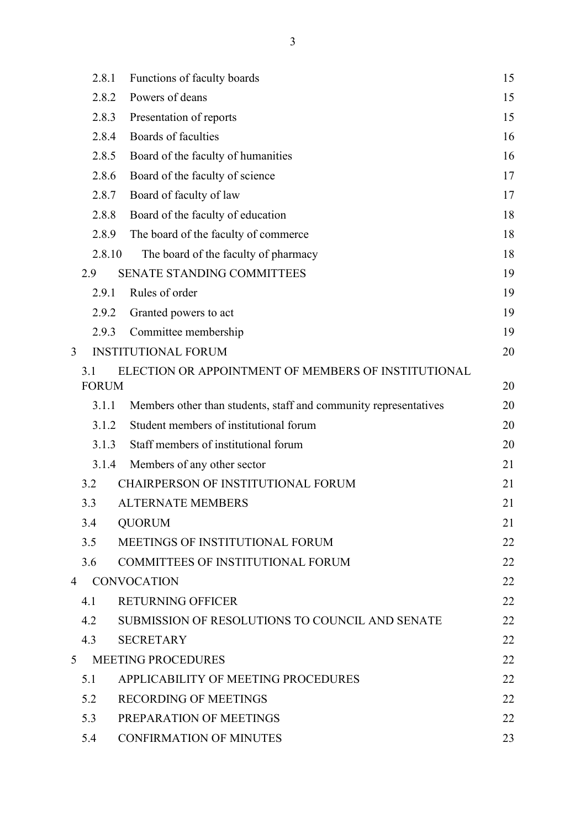|   | 2.8.1        | Functions of faculty boards                                      | 15 |
|---|--------------|------------------------------------------------------------------|----|
|   | 2.8.2        | Powers of deans                                                  | 15 |
|   | 2.8.3        | Presentation of reports                                          | 15 |
|   | 2.8.4        | Boards of faculties                                              | 16 |
|   | 2.8.5        | Board of the faculty of humanities                               | 16 |
|   | 2.8.6        | Board of the faculty of science                                  | 17 |
|   | 2.8.7        | Board of faculty of law                                          | 17 |
|   | 2.8.8        | Board of the faculty of education                                | 18 |
|   | 2.8.9        | The board of the faculty of commerce                             | 18 |
|   | 2.8.10       | The board of the faculty of pharmacy                             | 18 |
|   | 2.9          | SENATE STANDING COMMITTEES                                       | 19 |
|   | 2.9.1        | Rules of order                                                   | 19 |
|   | 2.9.2        | Granted powers to act                                            | 19 |
|   | 2.9.3        | Committee membership                                             | 19 |
| 3 |              | <b>INSTITUTIONAL FORUM</b>                                       | 20 |
|   | 3.1          | ELECTION OR APPOINTMENT OF MEMBERS OF INSTITUTIONAL              |    |
|   | <b>FORUM</b> |                                                                  | 20 |
|   | 3.1.1        | Members other than students, staff and community representatives | 20 |
|   | 3.1.2        | Student members of institutional forum                           | 20 |
|   | 3.1.3        | Staff members of institutional forum                             | 20 |
|   | 3.1.4        | Members of any other sector                                      | 21 |
|   | 3.2          | <b>CHAIRPERSON OF INSTITUTIONAL FORUM</b>                        | 21 |
|   | 3.3          | <b>ALTERNATE MEMBERS</b>                                         | 21 |
|   | 3.4          | <b>QUORUM</b>                                                    | 21 |
|   | 3.5          | MEETINGS OF INSTITUTIONAL FORUM                                  | 22 |
|   | 3.6          | <b>COMMITTEES OF INSTITUTIONAL FORUM</b>                         | 22 |
| 4 |              | <b>CONVOCATION</b>                                               | 22 |
|   | 4.1          | <b>RETURNING OFFICER</b>                                         | 22 |
|   | 4.2          | SUBMISSION OF RESOLUTIONS TO COUNCIL AND SENATE                  | 22 |
|   | 4.3          | <b>SECRETARY</b>                                                 | 22 |
| 5 |              | <b>MEETING PROCEDURES</b>                                        | 22 |
|   | 5.1          | APPLICABILITY OF MEETING PROCEDURES                              | 22 |
|   | 5.2          | <b>RECORDING OF MEETINGS</b>                                     | 22 |
|   | 5.3          | PREPARATION OF MEETINGS                                          | 22 |
|   | 5.4          | <b>CONFIRMATION OF MINUTES</b>                                   | 23 |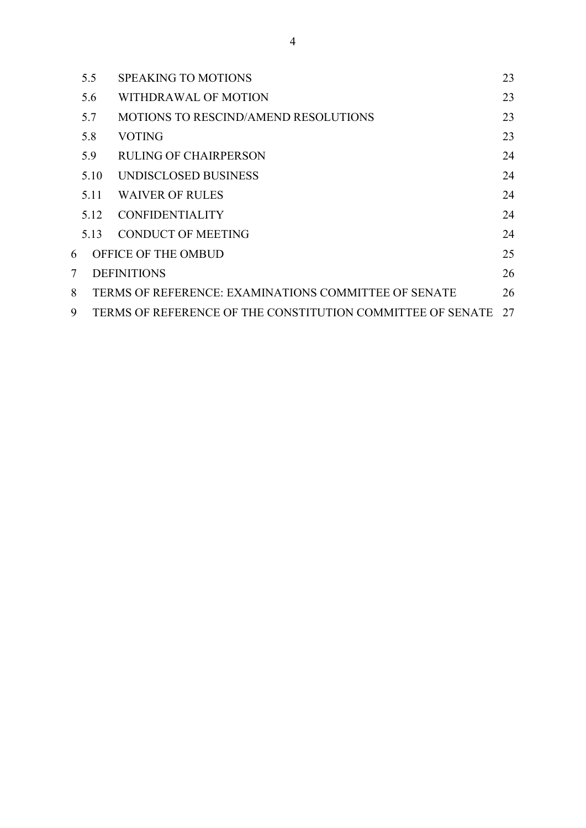|   | 5.5  | <b>SPEAKING TO MOTIONS</b>                                 | 23 |
|---|------|------------------------------------------------------------|----|
|   | 5.6  | WITHDRAWAL OF MOTION                                       | 23 |
|   | 5.7  | <b>MOTIONS TO RESCIND/AMEND RESOLUTIONS</b>                | 23 |
|   | 5.8  | <b>VOTING</b>                                              | 23 |
|   | 5.9  | <b>RULING OF CHAIRPERSON</b>                               | 24 |
|   | 5.10 | UNDISCLOSED BUSINESS                                       | 24 |
|   | 5.11 | <b>WAIVER OF RULES</b>                                     | 24 |
|   | 5.12 | <b>CONFIDENTIALITY</b>                                     | 24 |
|   | 5.13 | <b>CONDUCT OF MEETING</b>                                  | 24 |
| 6 |      | OFFICE OF THE OMBUD                                        | 25 |
| 7 |      | <b>DEFINITIONS</b>                                         | 26 |
| 8 |      | TERMS OF REFERENCE: EXAMINATIONS COMMITTEE OF SENATE       | 26 |
| 9 |      | TERMS OF REFERENCE OF THE CONSTITUTION COMMITTEE OF SENATE | 27 |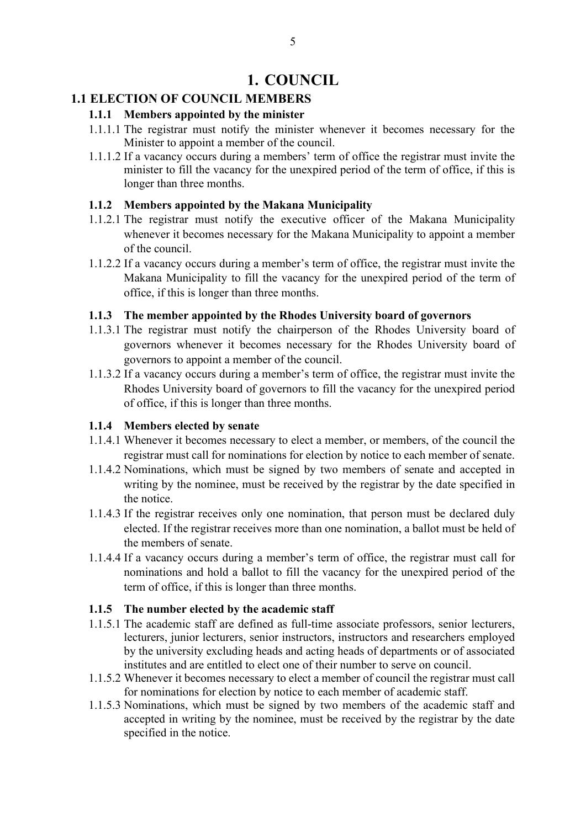### **1. COUNCIL**

### <span id="page-4-2"></span><span id="page-4-1"></span><span id="page-4-0"></span>**1.1 ELECTION OF COUNCIL MEMBERS**

### **1.1.1 Members appointed by the minister**

- 1.1.1.1 The registrar must notify the minister whenever it becomes necessary for the Minister to appoint a member of the council.
- 1.1.1.2 If a vacancy occurs during a members' term of office the registrar must invite the minister to fill the vacancy for the unexpired period of the term of office, if this is longer than three months.

### <span id="page-4-3"></span>**1.1.2 Members appointed by the Makana Municipality**

- 1.1.2.1 The registrar must notify the executive officer of the Makana Municipality whenever it becomes necessary for the Makana Municipality to appoint a member of the council.
- 1.1.2.2 If a vacancy occurs during a member's term of office, the registrar must invite the Makana Municipality to fill the vacancy for the unexpired period of the term of office, if this is longer than three months.

### <span id="page-4-4"></span>**1.1.3 The member appointed by the Rhodes University board of governors**

- 1.1.3.1 The registrar must notify the chairperson of the Rhodes University board of governors whenever it becomes necessary for the Rhodes University board of governors to appoint a member of the council.
- 1.1.3.2 If a vacancy occurs during a member's term of office, the registrar must invite the Rhodes University board of governors to fill the vacancy for the unexpired period of office, if this is longer than three months.

### <span id="page-4-5"></span>**1.1.4 Members elected by senate**

- 1.1.4.1 Whenever it becomes necessary to elect a member, or members, of the council the registrar must call for nominations for election by notice to each member of senate.
- 1.1.4.2 Nominations, which must be signed by two members of senate and accepted in writing by the nominee, must be received by the registrar by the date specified in the notice.
- 1.1.4.3 If the registrar receives only one nomination, that person must be declared duly elected. If the registrar receives more than one nomination, a ballot must be held of the members of senate.
- 1.1.4.4 If a vacancy occurs during a member's term of office, the registrar must call for nominations and hold a ballot to fill the vacancy for the unexpired period of the term of office, if this is longer than three months.

### <span id="page-4-6"></span>**1.1.5 The number elected by the academic staff**

- 1.1.5.1 The academic staff are defined as full-time associate professors, senior lecturers, lecturers, junior lecturers, senior instructors, instructors and researchers employed by the university excluding heads and acting heads of departments or of associated institutes and are entitled to elect one of their number to serve on council.
- 1.1.5.2 Whenever it becomes necessary to elect a member of council the registrar must call for nominations for election by notice to each member of academic staff.
- 1.1.5.3 Nominations, which must be signed by two members of the academic staff and accepted in writing by the nominee, must be received by the registrar by the date specified in the notice.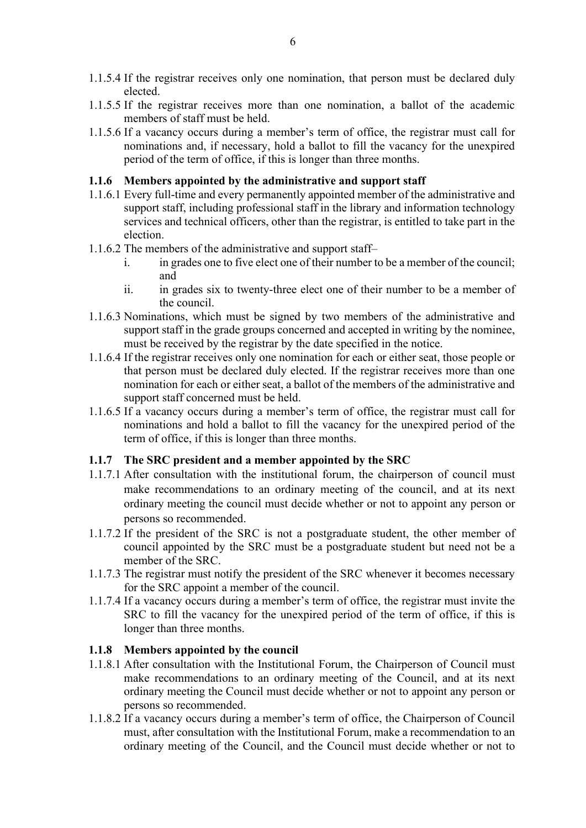- 1.1.5.4 If the registrar receives only one nomination, that person must be declared duly elected.
- 1.1.5.5 If the registrar receives more than one nomination, a ballot of the academic members of staff must be held.
- 1.1.5.6 If a vacancy occurs during a member's term of office, the registrar must call for nominations and, if necessary, hold a ballot to fill the vacancy for the unexpired period of the term of office, if this is longer than three months.

### <span id="page-5-0"></span>**1.1.6 Members appointed by the administrative and support staff**

- 1.1.6.1 Every full-time and every permanently appointed member of the administrative and support staff, including professional staff in the library and information technology services and technical officers, other than the registrar, is entitled to take part in the election.
- 1.1.6.2 The members of the administrative and support staff–
	- i. in grades one to five elect one of their number to be a member of the council; and
	- ii. in grades six to twenty-three elect one of their number to be a member of the council.
- 1.1.6.3 Nominations, which must be signed by two members of the administrative and support staff in the grade groups concerned and accepted in writing by the nominee, must be received by the registrar by the date specified in the notice.
- 1.1.6.4 If the registrar receives only one nomination for each or either seat, those people or that person must be declared duly elected. If the registrar receives more than one nomination for each or either seat, a ballot of the members of the administrative and support staff concerned must be held.
- 1.1.6.5 If a vacancy occurs during a member's term of office, the registrar must call for nominations and hold a ballot to fill the vacancy for the unexpired period of the term of office, if this is longer than three months.

#### <span id="page-5-1"></span>**1.1.7 The SRC president and a member appointed by the SRC**

- 1.1.7.1 After consultation with the institutional forum, the chairperson of council must make recommendations to an ordinary meeting of the council, and at its next ordinary meeting the council must decide whether or not to appoint any person or persons so recommended.
- 1.1.7.2 If the president of the SRC is not a postgraduate student, the other member of council appointed by the SRC must be a postgraduate student but need not be a member of the SRC.
- 1.1.7.3 The registrar must notify the president of the SRC whenever it becomes necessary for the SRC appoint a member of the council.
- 1.1.7.4 If a vacancy occurs during a member's term of office, the registrar must invite the SRC to fill the vacancy for the unexpired period of the term of office, if this is longer than three months.

#### <span id="page-5-2"></span>**1.1.8 Members appointed by the council**

- 1.1.8.1 After consultation with the Institutional Forum, the Chairperson of Council must make recommendations to an ordinary meeting of the Council, and at its next ordinary meeting the Council must decide whether or not to appoint any person or persons so recommended.
- 1.1.8.2 If a vacancy occurs during a member's term of office, the Chairperson of Council must, after consultation with the Institutional Forum, make a recommendation to an ordinary meeting of the Council, and the Council must decide whether or not to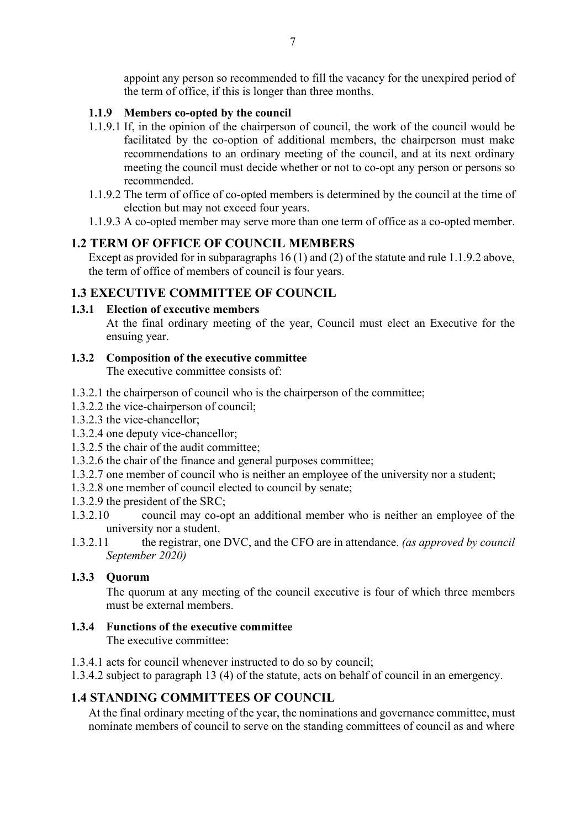appoint any person so recommended to fill the vacancy for the unexpired period of the term of office, if this is longer than three months.

### <span id="page-6-0"></span>**1.1.9 Members co-opted by the council**

- 1.1.9.1 If, in the opinion of the chairperson of council, the work of the council would be facilitated by the co-option of additional members, the chairperson must make recommendations to an ordinary meeting of the council, and at its next ordinary meeting the council must decide whether or not to co-opt any person or persons so recommended.
- 1.1.9.2 The term of office of co-opted members is determined by the council at the time of election but may not exceed four years.
- 1.1.9.3 A co-opted member may serve more than one term of office as a co-opted member.

### <span id="page-6-1"></span>**1.2 TERM OF OFFICE OF COUNCIL MEMBERS**

Except as provided for in subparagraphs 16 (1) and (2) of the statute and rule 1.1.9.2 above, the term of office of members of council is four years.

### <span id="page-6-2"></span>**1.3 EXECUTIVE COMMITTEE OF COUNCIL**

### <span id="page-6-3"></span>**1.3.1 Election of executive members**

At the final ordinary meeting of the year, Council must elect an Executive for the ensuing year.

### <span id="page-6-4"></span>**1.3.2 Composition of the executive committee**

The executive committee consists of:

- 1.3.2.1 the chairperson of council who is the chairperson of the committee;
- 1.3.2.2 the vice-chairperson of council;
- 1.3.2.3 the vice-chancellor;
- 1.3.2.4 one deputy vice-chancellor;
- 1.3.2.5 the chair of the audit committee;
- 1.3.2.6 the chair of the finance and general purposes committee;
- 1.3.2.7 one member of council who is neither an employee of the university nor a student;
- 1.3.2.8 one member of council elected to council by senate;
- 1.3.2.9 the president of the SRC;
- 1.3.2.10 council may co-opt an additional member who is neither an employee of the university nor a student.
- 1.3.2.11 the registrar, one DVC, and the CFO are in attendance. *(as approved by council September 2020)*

### <span id="page-6-5"></span>**1.3.3 Quorum**

The quorum at any meeting of the council executive is four of which three members must be external members.

<span id="page-6-6"></span>**1.3.4 Functions of the executive committee**

The executive committee:

- 1.3.4.1 acts for council whenever instructed to do so by council;
- 1.3.4.2 subject to paragraph 13 (4) of the statute, acts on behalf of council in an emergency.

### <span id="page-6-7"></span>**1.4 STANDING COMMITTEES OF COUNCIL**

At the final ordinary meeting of the year, the nominations and governance committee, must nominate members of council to serve on the standing committees of council as and where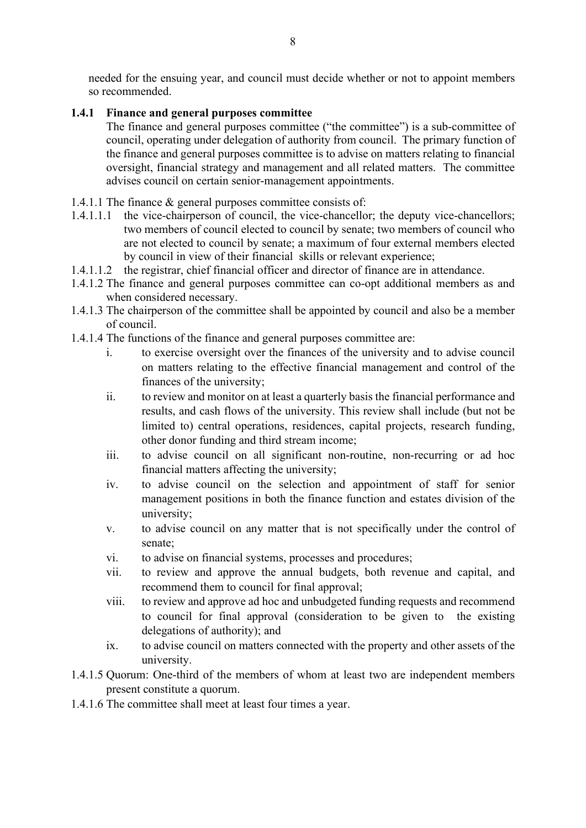needed for the ensuing year, and council must decide whether or not to appoint members so recommended.

### <span id="page-7-0"></span>**1.4.1 Finance and general purposes committee**

The finance and general purposes committee ("the committee") is a sub-committee of council, operating under delegation of authority from council. The primary function of the finance and general purposes committee is to advise on matters relating to financial oversight, financial strategy and management and all related matters. The committee advises council on certain senior-management appointments.

- 1.4.1.1 The finance & general purposes committee consists of:
- 1.4.1.1.1 the vice-chairperson of council, the vice-chancellor; the deputy vice-chancellors; two members of council elected to council by senate; two members of council who are not elected to council by senate; a maximum of four external members elected by council in view of their financial skills or relevant experience;
- 1.4.1.1.2 the registrar, chief financial officer and director of finance are in attendance.
- 1.4.1.2 The finance and general purposes committee can co-opt additional members as and when considered necessary.
- 1.4.1.3 The chairperson of the committee shall be appointed by council and also be a member of council.
- 1.4.1.4 The functions of the finance and general purposes committee are:
	- i. to exercise oversight over the finances of the university and to advise council on matters relating to the effective financial management and control of the finances of the university;
	- ii. to review and monitor on at least a quarterly basis the financial performance and results, and cash flows of the university. This review shall include (but not be limited to) central operations, residences, capital projects, research funding, other donor funding and third stream income;
	- iii. to advise council on all significant non-routine, non-recurring or ad hoc financial matters affecting the university;
	- iv. to advise council on the selection and appointment of staff for senior management positions in both the finance function and estates division of the university;
	- v. to advise council on any matter that is not specifically under the control of senate;
	- vi. to advise on financial systems, processes and procedures;
	- vii. to review and approve the annual budgets, both revenue and capital, and recommend them to council for final approval;
	- viii. to review and approve ad hoc and unbudgeted funding requests and recommend to council for final approval (consideration to be given to the existing delegations of authority); and
	- ix. to advise council on matters connected with the property and other assets of the university.
- 1.4.1.5 Quorum: One-third of the members of whom at least two are independent members present constitute a quorum.
- 1.4.1.6 The committee shall meet at least four times a year.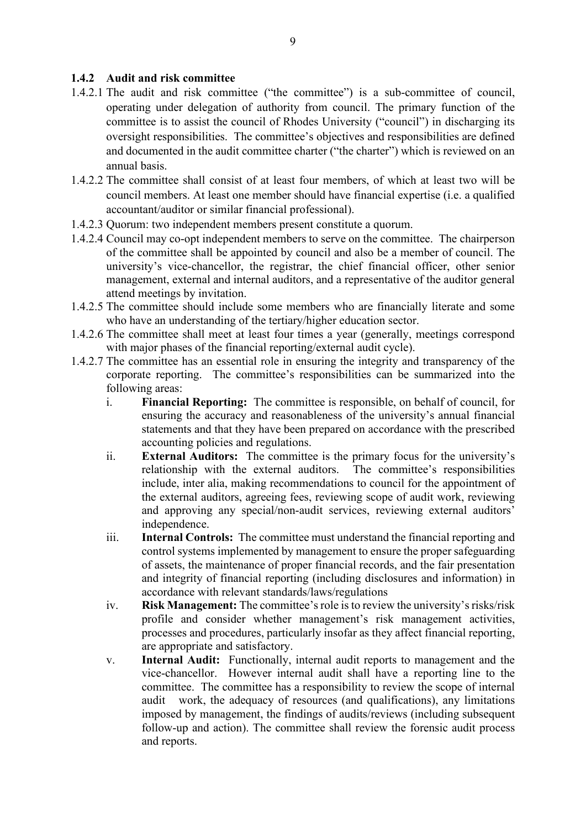### <span id="page-8-0"></span>**1.4.2 Audit and risk committee**

- 1.4.2.1 The audit and risk committee ("the committee") is a sub-committee of council, operating under delegation of authority from council. The primary function of the committee is to assist the council of Rhodes University ("council") in discharging its oversight responsibilities. The committee's objectives and responsibilities are defined and documented in the audit committee charter ("the charter") which is reviewed on an annual basis.
- 1.4.2.2 The committee shall consist of at least four members, of which at least two will be council members. At least one member should have financial expertise (i.e. a qualified accountant/auditor or similar financial professional).
- 1.4.2.3 Quorum: two independent members present constitute a quorum.
- 1.4.2.4 Council may co-opt independent members to serve on the committee. The chairperson of the committee shall be appointed by council and also be a member of council. The university's vice-chancellor, the registrar, the chief financial officer, other senior management, external and internal auditors, and a representative of the auditor general attend meetings by invitation.
- 1.4.2.5 The committee should include some members who are financially literate and some who have an understanding of the tertiary/higher education sector.
- 1.4.2.6 The committee shall meet at least four times a year (generally, meetings correspond with major phases of the financial reporting/external audit cycle).
- 1.4.2.7 The committee has an essential role in ensuring the integrity and transparency of the corporate reporting. The committee's responsibilities can be summarized into the following areas:
	- i. **Financial Reporting:** The committee is responsible, on behalf of council, for ensuring the accuracy and reasonableness of the university's annual financial statements and that they have been prepared on accordance with the prescribed accounting policies and regulations.
	- ii. **External Auditors:** The committee is the primary focus for the university's relationship with the external auditors. The committee's responsibilities include, inter alia, making recommendations to council for the appointment of the external auditors, agreeing fees, reviewing scope of audit work, reviewing and approving any special/non-audit services, reviewing external auditors' independence.
	- iii. **Internal Controls:** The committee must understand the financial reporting and control systems implemented by management to ensure the proper safeguarding of assets, the maintenance of proper financial records, and the fair presentation and integrity of financial reporting (including disclosures and information) in accordance with relevant standards/laws/regulations
	- iv. **Risk Management:** The committee's role is to review the university's risks/risk profile and consider whether management's risk management activities, processes and procedures, particularly insofar as they affect financial reporting, are appropriate and satisfactory.
	- v. **Internal Audit:** Functionally, internal audit reports to management and the vice-chancellor. However internal audit shall have a reporting line to the committee. The committee has a responsibility to review the scope of internal audit work, the adequacy of resources (and qualifications), any limitations imposed by management, the findings of audits/reviews (including subsequent follow-up and action). The committee shall review the forensic audit process and reports.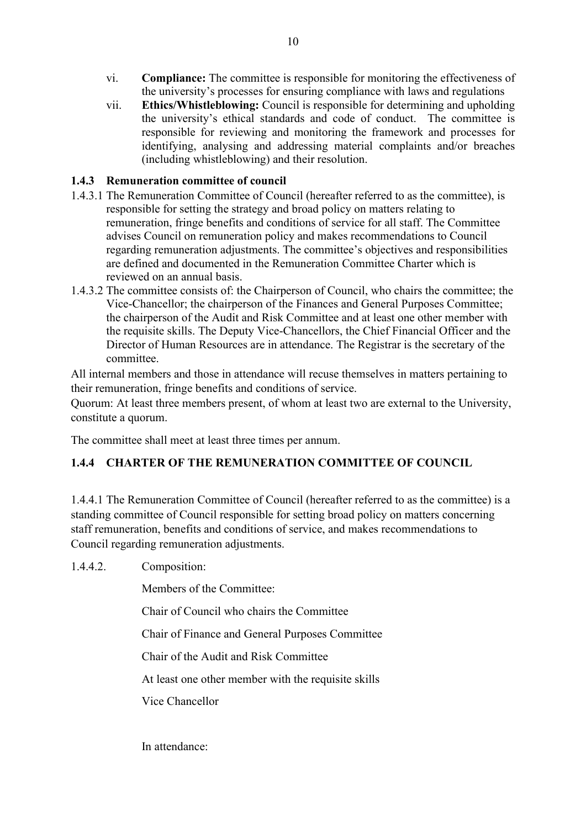- vi. **Compliance:** The committee is responsible for monitoring the effectiveness of the university's processes for ensuring compliance with laws and regulations
- vii. **Ethics/Whistleblowing:** Council is responsible for determining and upholding the university's ethical standards and code of conduct. The committee is responsible for reviewing and monitoring the framework and processes for identifying, analysing and addressing material complaints and/or breaches (including whistleblowing) and their resolution.

### <span id="page-9-0"></span>**1.4.3 Remuneration committee of council**

- 1.4.3.1 The Remuneration Committee of Council (hereafter referred to as the committee), is responsible for setting the strategy and broad policy on matters relating to remuneration, fringe benefits and conditions of service for all staff. The Committee advises Council on remuneration policy and makes recommendations to Council regarding remuneration adjustments. The committee's objectives and responsibilities are defined and documented in the Remuneration Committee Charter which is reviewed on an annual basis.
- 1.4.3.2 The committee consists of: the Chairperson of Council, who chairs the committee; the Vice-Chancellor; the chairperson of the Finances and General Purposes Committee; the chairperson of the Audit and Risk Committee and at least one other member with the requisite skills. The Deputy Vice-Chancellors, the Chief Financial Officer and the Director of Human Resources are in attendance. The Registrar is the secretary of the committee.

All internal members and those in attendance will recuse themselves in matters pertaining to their remuneration, fringe benefits and conditions of service.

Quorum: At least three members present, of whom at least two are external to the University, constitute a quorum.

The committee shall meet at least three times per annum.

### <span id="page-9-1"></span>**1.4.4 CHARTER OF THE REMUNERATION COMMITTEE OF COUNCIL**

1.4.4.1 The Remuneration Committee of Council (hereafter referred to as the committee) is a standing committee of Council responsible for setting broad policy on matters concerning staff remuneration, benefits and conditions of service, and makes recommendations to Council regarding remuneration adjustments.

1.4.4.2. Composition:

Members of the Committee:

Chair of Council who chairs the Committee

Chair of Finance and General Purposes Committee

Chair of the Audit and Risk Committee

At least one other member with the requisite skills

Vice Chancellor

In attendance: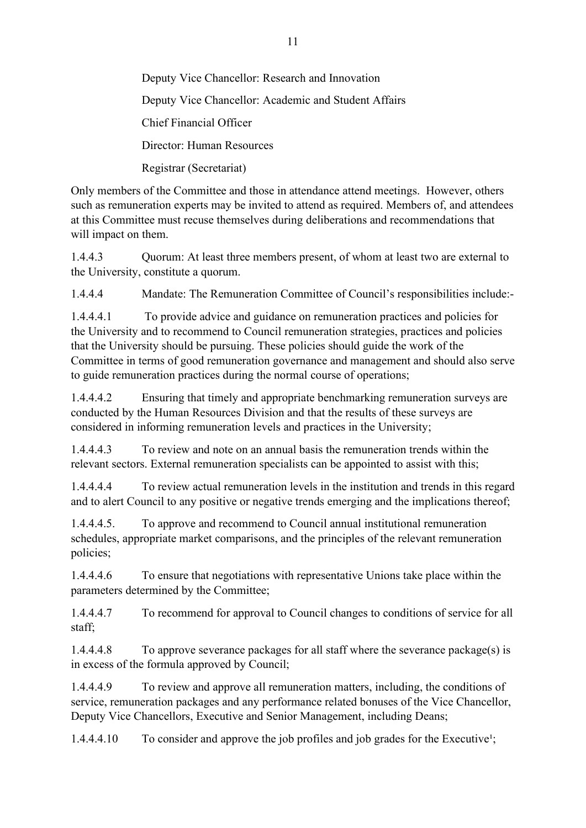Deputy Vice Chancellor: Research and Innovation Deputy Vice Chancellor: Academic and Student Affairs Chief Financial Officer Director: Human Resources Registrar (Secretariat)

Only members of the Committee and those in attendance attend meetings. However, others such as remuneration experts may be invited to attend as required. Members of, and attendees at this Committee must recuse themselves during deliberations and recommendations that will impact on them.

1.4.4.3 Quorum: At least three members present, of whom at least two are external to the University, constitute a quorum.

1.4.4.4 Mandate: The Remuneration Committee of Council's responsibilities include:-

1.4.4.4.1 To provide advice and guidance on remuneration practices and policies for the University and to recommend to Council remuneration strategies, practices and policies that the University should be pursuing. These policies should guide the work of the Committee in terms of good remuneration governance and management and should also serve to guide remuneration practices during the normal course of operations;

1.4.4.4.2 Ensuring that timely and appropriate benchmarking remuneration surveys are conducted by the Human Resources Division and that the results of these surveys are considered in informing remuneration levels and practices in the University;

1.4.4.4.3 To review and note on an annual basis the remuneration trends within the relevant sectors. External remuneration specialists can be appointed to assist with this;

1.4.4.4.4 To review actual remuneration levels in the institution and trends in this regard and to alert Council to any positive or negative trends emerging and the implications thereof;

1.4.4.4.5. To approve and recommend to Council annual institutional remuneration schedules, appropriate market comparisons, and the principles of the relevant remuneration policies;

1.4.4.4.6 To ensure that negotiations with representative Unions take place within the parameters determined by the Committee;

1.4.4.4.7 To recommend for approval to Council changes to conditions of service for all staff;

1.4.4.4.8 To approve severance packages for all staff where the severance package(s) is in excess of the formula approved by Council;

1.4.4.4.9 To review and approve all remuneration matters, including, the conditions of service, remuneration packages and any performance related bonuses of the Vice Chancellor, Deputy Vice Chancellors, Executive and Senior Management, including Deans;

 $1.4.4.4.10$  To consider and approve the job profiles and job grades for the Executive<sup>1</sup>;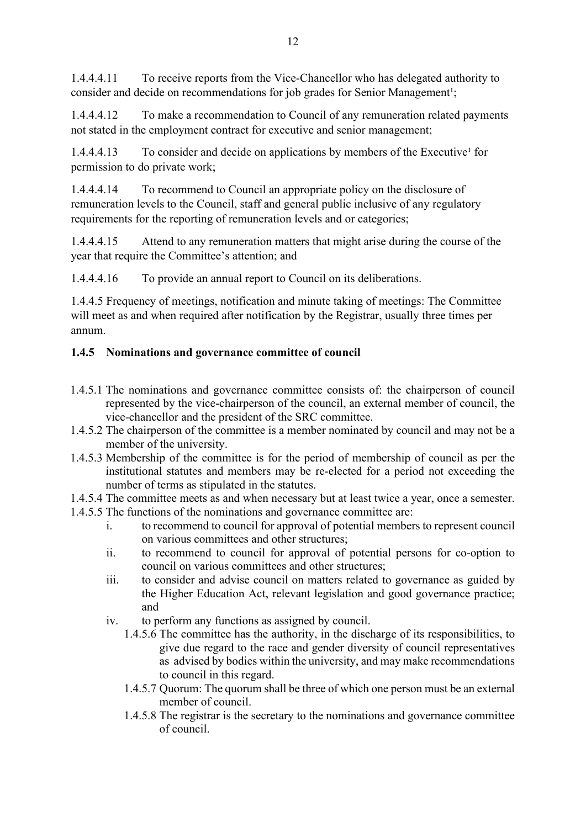1.4.4.4.11 To receive reports from the Vice-Chancellor who has delegated authority to consider and decide on recommendations for job grades for Senior Management<sup>1</sup>;

1.4.4.4.12 To make a recommendation to Council of any remuneration related payments not stated in the employment contract for executive and senior management;

1.4.4.4.13 To consider and decide on applications by members of the Executive<sup>1</sup> for permission to do private work;

1.4.4.4.14 To recommend to Council an appropriate policy on the disclosure of remuneration levels to the Council, staff and general public inclusive of any regulatory requirements for the reporting of remuneration levels and or categories;

1.4.4.4.15 Attend to any remuneration matters that might arise during the course of the year that require the Committee's attention; and

1.4.4.4.16 To provide an annual report to Council on its deliberations.

1.4.4.5 Frequency of meetings, notification and minute taking of meetings: The Committee will meet as and when required after notification by the Registrar, usually three times per annum.

### <span id="page-11-0"></span>**1.4.5 Nominations and governance committee of council**

- 1.4.5.1 The nominations and governance committee consists of: the chairperson of council represented by the vice-chairperson of the council, an external member of council, the vice-chancellor and the president of the SRC committee.
- 1.4.5.2 The chairperson of the committee is a member nominated by council and may not be a member of the university.
- 1.4.5.3 Membership of the committee is for the period of membership of council as per the institutional statutes and members may be re-elected for a period not exceeding the number of terms as stipulated in the statutes.
- 1.4.5.4 The committee meets as and when necessary but at least twice a year, once a semester.
- 1.4.5.5 The functions of the nominations and governance committee are:
	- i. to recommend to council for approval of potential members to represent council on various committees and other structures;
	- ii. to recommend to council for approval of potential persons for co-option to council on various committees and other structures;
	- iii. to consider and advise council on matters related to governance as guided by the Higher Education Act, relevant legislation and good governance practice; and
	- iv. to perform any functions as assigned by council.
		- 1.4.5.6 The committee has the authority, in the discharge of its responsibilities, to give due regard to the race and gender diversity of council representatives as advised by bodies within the university, and may make recommendations to council in this regard.
		- 1.4.5.7 Quorum: The quorum shall be three of which one person must be an external member of council.
		- 1.4.5.8 The registrar is the secretary to the nominations and governance committee of council.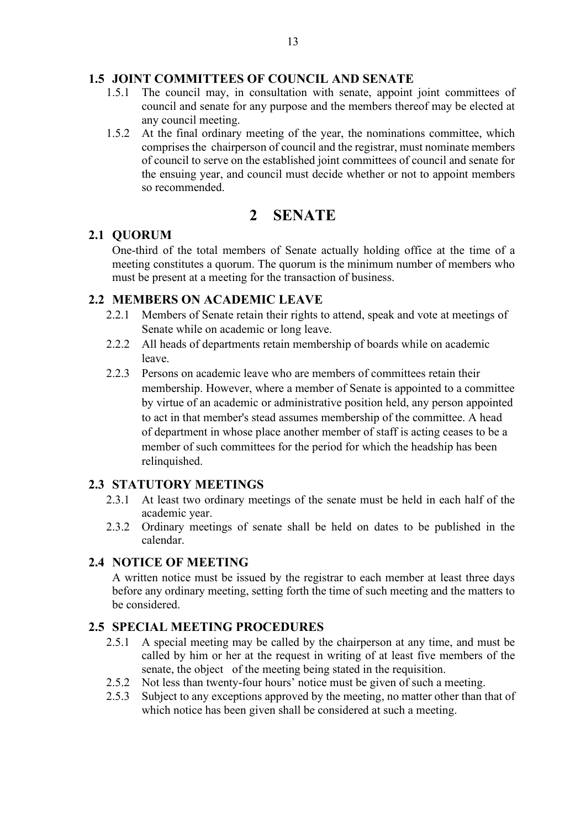### <span id="page-12-0"></span>**1.5 JOINT COMMITTEES OF COUNCIL AND SENATE**

- 1.5.1 The council may, in consultation with senate, appoint joint committees of council and senate for any purpose and the members thereof may be elected at any council meeting.
- 1.5.2 At the final ordinary meeting of the year, the nominations committee, which comprises the chairperson of council and the registrar, must nominate members of council to serve on the established joint committees of council and senate for the ensuing year, and council must decide whether or not to appoint members so recommended.

### **2 SENATE**

### <span id="page-12-2"></span><span id="page-12-1"></span>**2.1 QUORUM**

One‑third of the total members of Senate actually holding office at the time of a meeting constitutes a quorum. The quorum is the minimum number of members who must be present at a meeting for the transaction of business.

### <span id="page-12-3"></span>**2.2 MEMBERS ON ACADEMIC LEAVE**

- 2.2.1 Members of Senate retain their rights to attend, speak and vote at meetings of Senate while on academic or long leave.
- 2.2.2 All heads of departments retain membership of boards while on academic leave.
- 2.2.3 Persons on academic leave who are members of committees retain their membership. However, where a member of Senate is appointed to a committee by virtue of an academic or administrative position held, any person appointed to act in that member's stead assumes membership of the committee. A head of department in whose place another member of staff is acting ceases to be a member of such committees for the period for which the headship has been relinquished.

### <span id="page-12-4"></span>**2.3 STATUTORY MEETINGS**

- 2.3.1 At least two ordinary meetings of the senate must be held in each half of the academic year.
- 2.3.2 Ordinary meetings of senate shall be held on dates to be published in the calendar.

### <span id="page-12-5"></span>**2.4 NOTICE OF MEETING**

A written notice must be issued by the registrar to each member at least three days before any ordinary meeting, setting forth the time of such meeting and the matters to be considered.

### <span id="page-12-6"></span>**2.5 SPECIAL MEETING PROCEDURES**

- 2.5.1 A special meeting may be called by the chairperson at any time, and must be called by him or her at the request in writing of at least five members of the senate, the object of the meeting being stated in the requisition.
- 2.5.2 Not less than twenty-four hours' notice must be given of such a meeting.
- 2.5.3 Subject to any exceptions approved by the meeting, no matter other than that of which notice has been given shall be considered at such a meeting.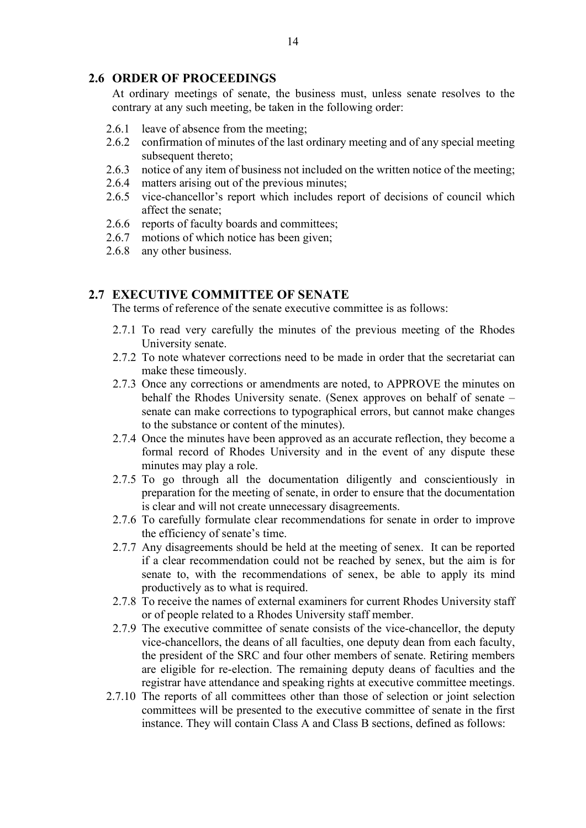### <span id="page-13-0"></span>**2.6 ORDER OF PROCEEDINGS**

At ordinary meetings of senate, the business must, unless senate resolves to the contrary at any such meeting, be taken in the following order:

- 2.6.1 leave of absence from the meeting;
- 2.6.2 confirmation of minutes of the last ordinary meeting and of any special meeting subsequent thereto;
- 2.6.3 notice of any item of business not included on the written notice of the meeting;
- 2.6.4 matters arising out of the previous minutes;
- 2.6.5 vice-chancellor's report which includes report of decisions of council which affect the senate;
- 2.6.6 reports of faculty boards and committees;
- 2.6.7 motions of which notice has been given;
- 2.6.8 any other business.

### <span id="page-13-1"></span>**2.7 EXECUTIVE COMMITTEE OF SENATE**

The terms of reference of the senate executive committee is as follows:

- 2.7.1 To read very carefully the minutes of the previous meeting of the Rhodes University senate.
- 2.7.2 To note whatever corrections need to be made in order that the secretariat can make these timeously.
- 2.7.3 Once any corrections or amendments are noted, to APPROVE the minutes on behalf the Rhodes University senate. (Senex approves on behalf of senate – senate can make corrections to typographical errors, but cannot make changes to the substance or content of the minutes).
- 2.7.4 Once the minutes have been approved as an accurate reflection, they become a formal record of Rhodes University and in the event of any dispute these minutes may play a role.
- 2.7.5 To go through all the documentation diligently and conscientiously in preparation for the meeting of senate, in order to ensure that the documentation is clear and will not create unnecessary disagreements.
- 2.7.6 To carefully formulate clear recommendations for senate in order to improve the efficiency of senate's time.
- 2.7.7 Any disagreements should be held at the meeting of senex. It can be reported if a clear recommendation could not be reached by senex, but the aim is for senate to, with the recommendations of senex, be able to apply its mind productively as to what is required.
- 2.7.8 To receive the names of external examiners for current Rhodes University staff or of people related to a Rhodes University staff member.
- 2.7.9 The executive committee of senate consists of the vice-chancellor, the deputy vice-chancellors, the deans of all faculties, one deputy dean from each faculty, the president of the SRC and four other members of senate. Retiring members are eligible for re-election. The remaining deputy deans of faculties and the registrar have attendance and speaking rights at executive committee meetings.
- 2.7.10 The reports of all committees other than those of selection or joint selection committees will be presented to the executive committee of senate in the first instance. They will contain Class A and Class B sections, defined as follows: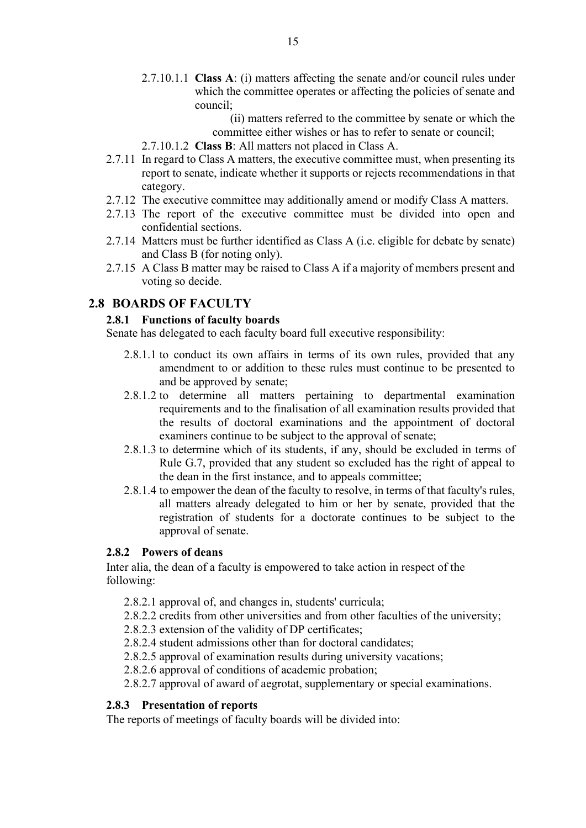- 2.7.10.1.1 **Class A**: (i) matters affecting the senate and/or council rules under which the committee operates or affecting the policies of senate and council;
	- (ii) matters referred to the committee by senate or which the committee either wishes or has to refer to senate or council;
- 2.7.10.1.2 **Class B**: All matters not placed in Class A.
- 2.7.11 In regard to Class A matters, the executive committee must, when presenting its report to senate, indicate whether it supports or rejects recommendations in that category.
- 2.7.12 The executive committee may additionally amend or modify Class A matters.
- 2.7.13 The report of the executive committee must be divided into open and confidential sections.
- 2.7.14 Matters must be further identified as Class A (i.e. eligible for debate by senate) and Class B (for noting only).
- 2.7.15 A Class B matter may be raised to Class A if a majority of members present and voting so decide.

### <span id="page-14-1"></span><span id="page-14-0"></span>**2.8 BOARDS OF FACULTY**

### **2.8.1 Functions of faculty boards**

Senate has delegated to each faculty board full executive responsibility:

- 2.8.1.1 to conduct its own affairs in terms of its own rules, provided that any amendment to or addition to these rules must continue to be presented to and be approved by senate;
- 2.8.1.2 to determine all matters pertaining to departmental examination requirements and to the finalisation of all examination results provided that the results of doctoral examinations and the appointment of doctoral examiners continue to be subject to the approval of senate;
- 2.8.1.3 to determine which of its students, if any, should be excluded in terms of Rule G.7, provided that any student so excluded has the right of appeal to the dean in the first instance, and to appeals committee;
- 2.8.1.4 to empower the dean of the faculty to resolve, in terms of that faculty's rules, all matters already delegated to him or her by senate, provided that the registration of students for a doctorate continues to be subject to the approval of senate.

#### <span id="page-14-2"></span>**2.8.2 Powers of deans**

Inter alia, the dean of a faculty is empowered to take action in respect of the following:

- 2.8.2.1 approval of, and changes in, students' curricula;
- 2.8.2.2 credits from other universities and from other faculties of the university;
- 2.8.2.3 extension of the validity of DP certificates;
- 2.8.2.4 student admissions other than for doctoral candidates;
- 2.8.2.5 approval of examination results during university vacations;
- 2.8.2.6 approval of conditions of academic probation;
- 2.8.2.7 approval of award of aegrotat, supplementary or special examinations.

#### <span id="page-14-3"></span>**2.8.3 Presentation of reports**

The reports of meetings of faculty boards will be divided into: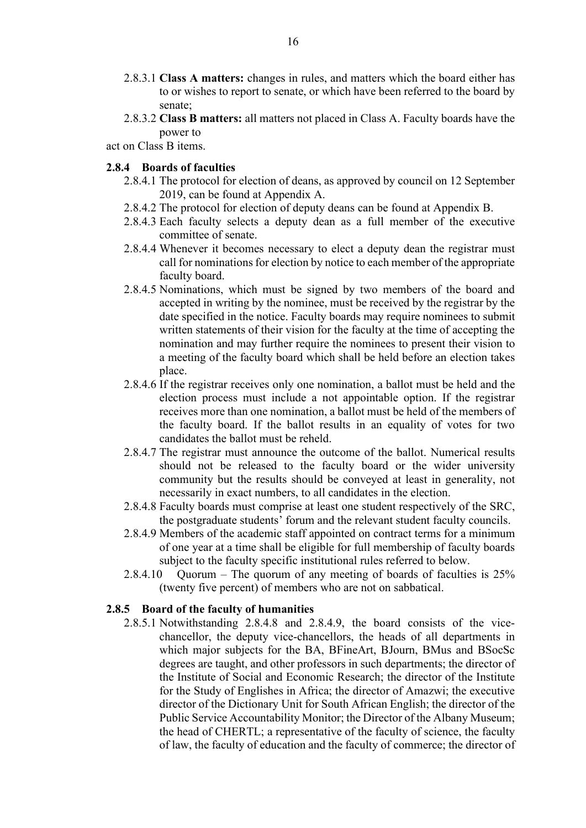- 2.8.3.1 **Class A matters:** changes in rules, and matters which the board either has to or wishes to report to senate, or which have been referred to the board by senate;
- 2.8.3.2 **Class B matters:** all matters not placed in Class A. Faculty boards have the power to

act on Class B items.

### <span id="page-15-0"></span>**2.8.4 Boards of faculties**

- 2.8.4.1 The protocol for election of deans, as approved by council on 12 September 2019, can be found at Appendix A.
- 2.8.4.2 The protocol for election of deputy deans can be found at Appendix B.
- 2.8.4.3 Each faculty selects a deputy dean as a full member of the executive committee of senate.
- 2.8.4.4 Whenever it becomes necessary to elect a deputy dean the registrar must call for nominations for election by notice to each member of the appropriate faculty board.
- 2.8.4.5 Nominations, which must be signed by two members of the board and accepted in writing by the nominee, must be received by the registrar by the date specified in the notice. Faculty boards may require nominees to submit written statements of their vision for the faculty at the time of accepting the nomination and may further require the nominees to present their vision to a meeting of the faculty board which shall be held before an election takes place.
- 2.8.4.6 If the registrar receives only one nomination, a ballot must be held and the election process must include a not appointable option. If the registrar receives more than one nomination, a ballot must be held of the members of the faculty board. If the ballot results in an equality of votes for two candidates the ballot must be reheld.
- 2.8.4.7 The registrar must announce the outcome of the ballot. Numerical results should not be released to the faculty board or the wider university community but the results should be conveyed at least in generality, not necessarily in exact numbers, to all candidates in the election.
- 2.8.4.8 Faculty boards must comprise at least one student respectively of the SRC, the postgraduate students' forum and the relevant student faculty councils.
- 2.8.4.9 Members of the academic staff appointed on contract terms for a minimum of one year at a time shall be eligible for full membership of faculty boards subject to the faculty specific institutional rules referred to below.
- 2.8.4.10 Quorum The quorum of any meeting of boards of faculties is 25% (twenty five percent) of members who are not on sabbatical.

#### <span id="page-15-1"></span>**2.8.5 Board of the faculty of humanities**

2.8.5.1 Notwithstanding 2.8.4.8 and 2.8.4.9, the board consists of the vicechancellor, the deputy vice-chancellors, the heads of all departments in which major subjects for the BA, BFineArt, BJourn, BMus and BSocSc degrees are taught, and other professors in such departments; the director of the Institute of Social and Economic Research; the director of the Institute for the Study of Englishes in Africa; the director of Amazwi; the executive director of the Dictionary Unit for South African English; the director of the Public Service Accountability Monitor; the Director of the Albany Museum; the head of CHERTL; a representative of the faculty of science, the faculty of law, the faculty of education and the faculty of commerce; the director of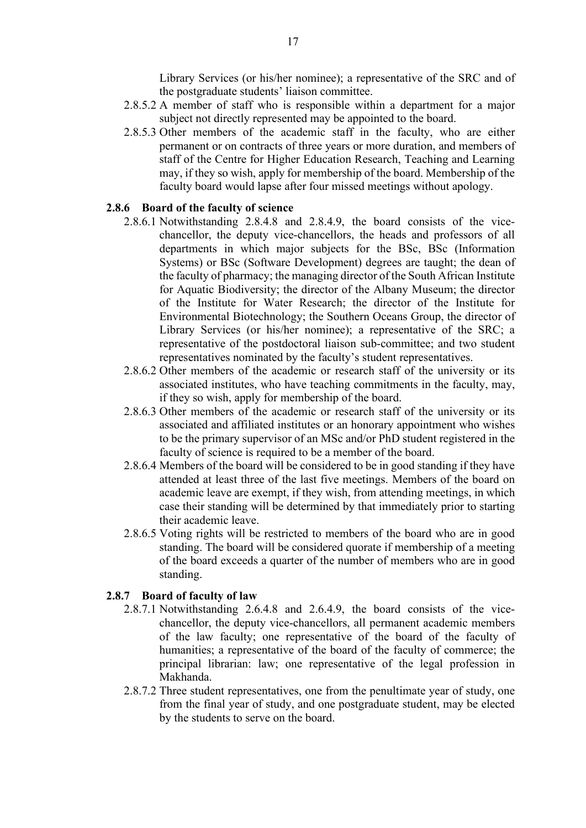Library Services (or his/her nominee); a representative of the SRC and of the postgraduate students' liaison committee.

- 2.8.5.2 A member of staff who is responsible within a department for a major subject not directly represented may be appointed to the board.
- 2.8.5.3 Other members of the academic staff in the faculty, who are either permanent or on contracts of three years or more duration, and members of staff of the Centre for Higher Education Research, Teaching and Learning may, if they so wish, apply for membership of the board. Membership of the faculty board would lapse after four missed meetings without apology.

#### <span id="page-16-0"></span>**2.8.6 Board of the faculty of science**

- 2.8.6.1 Notwithstanding 2.8.4.8 and 2.8.4.9, the board consists of the vicechancellor, the deputy vice-chancellors, the heads and professors of all departments in which major subjects for the BSc, BSc (Information Systems) or BSc (Software Development) degrees are taught; the dean of the faculty of pharmacy; the managing director of the South African Institute for Aquatic Biodiversity; the director of the Albany Museum; the director of the Institute for Water Research; the director of the Institute for Environmental Biotechnology; the Southern Oceans Group, the director of Library Services (or his/her nominee); a representative of the SRC; a representative of the postdoctoral liaison sub-committee; and two student representatives nominated by the faculty's student representatives.
- 2.8.6.2 Other members of the academic or research staff of the university or its associated institutes, who have teaching commitments in the faculty, may, if they so wish, apply for membership of the board.
- 2.8.6.3 Other members of the academic or research staff of the university or its associated and affiliated institutes or an honorary appointment who wishes to be the primary supervisor of an MSc and/or PhD student registered in the faculty of science is required to be a member of the board.
- 2.8.6.4 Members of the board will be considered to be in good standing if they have attended at least three of the last five meetings. Members of the board on academic leave are exempt, if they wish, from attending meetings, in which case their standing will be determined by that immediately prior to starting their academic leave.
- 2.8.6.5 Voting rights will be restricted to members of the board who are in good standing. The board will be considered quorate if membership of a meeting of the board exceeds a quarter of the number of members who are in good standing.

#### <span id="page-16-1"></span>**2.8.7 Board of faculty of law**

- 2.8.7.1 Notwithstanding 2.6.4.8 and 2.6.4.9, the board consists of the vicechancellor, the deputy vice-chancellors, all permanent academic members of the law faculty; one representative of the board of the faculty of humanities; a representative of the board of the faculty of commerce; the principal librarian: law; one representative of the legal profession in Makhanda.
- 2.8.7.2 Three student representatives, one from the penultimate year of study, one from the final year of study, and one postgraduate student, may be elected by the students to serve on the board.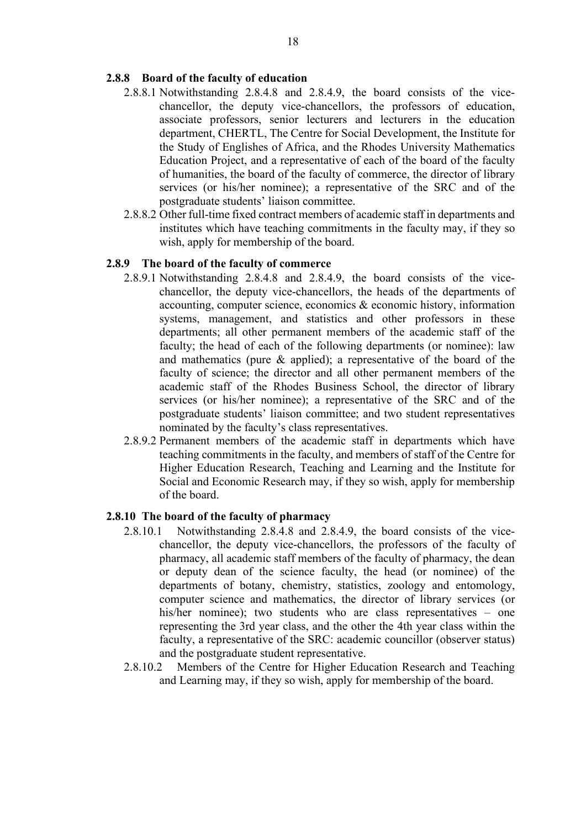### <span id="page-17-0"></span>**2.8.8 Board of the faculty of education**

- 2.8.8.1 Notwithstanding 2.8.4.8 and 2.8.4.9, the board consists of the vicechancellor, the deputy vice-chancellors, the professors of education, associate professors, senior lecturers and lecturers in the education department, CHERTL, The Centre for Social Development, the Institute for the Study of Englishes of Africa, and the Rhodes University Mathematics Education Project, and a representative of each of the board of the faculty of humanities, the board of the faculty of commerce, the director of library services (or his/her nominee); a representative of the SRC and of the postgraduate students' liaison committee.
- 2.8.8.2 Other full-time fixed contract members of academic staff in departments and institutes which have teaching commitments in the faculty may, if they so wish, apply for membership of the board.

#### <span id="page-17-1"></span>**2.8.9 The board of the faculty of commerce**

- 2.8.9.1 Notwithstanding 2.8.4.8 and 2.8.4.9, the board consists of the vicechancellor, the deputy vice-chancellors, the heads of the departments of accounting, computer science, economics & economic history, information systems, management, and statistics and other professors in these departments; all other permanent members of the academic staff of the faculty; the head of each of the following departments (or nominee): law and mathematics (pure & applied); a representative of the board of the faculty of science; the director and all other permanent members of the academic staff of the Rhodes Business School, the director of library services (or his/her nominee); a representative of the SRC and of the postgraduate students' liaison committee; and two student representatives nominated by the faculty's class representatives.
- 2.8.9.2 Permanent members of the academic staff in departments which have teaching commitments in the faculty, and members of staff of the Centre for Higher Education Research, Teaching and Learning and the Institute for Social and Economic Research may, if they so wish, apply for membership of the board.

#### <span id="page-17-2"></span>**2.8.10 The board of the faculty of pharmacy**

- 2.8.10.1 Notwithstanding 2.8.4.8 and 2.8.4.9, the board consists of the vicechancellor, the deputy vice-chancellors, the professors of the faculty of pharmacy, all academic staff members of the faculty of pharmacy, the dean or deputy dean of the science faculty, the head (or nominee) of the departments of botany, chemistry, statistics, zoology and entomology, computer science and mathematics, the director of library services (or his/her nominee); two students who are class representatives – one representing the 3rd year class, and the other the 4th year class within the faculty, a representative of the SRC: academic councillor (observer status) and the postgraduate student representative.
- 2.8.10.2 Members of the Centre for Higher Education Research and Teaching and Learning may, if they so wish, apply for membership of the board.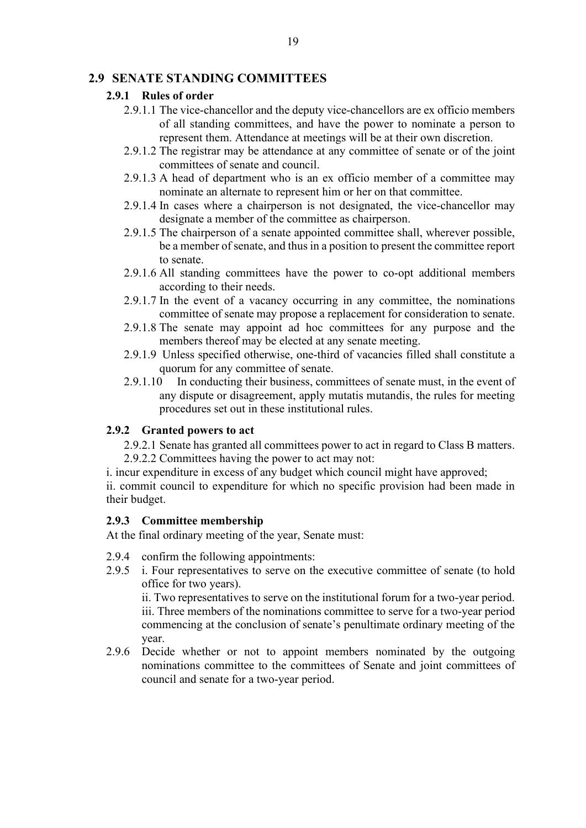### <span id="page-18-1"></span><span id="page-18-0"></span>**2.9 SENATE STANDING COMMITTEES**

#### **2.9.1 Rules of order**

- 2.9.1.1 The vice-chancellor and the deputy vice-chancellors are ex officio members of all standing committees, and have the power to nominate a person to represent them. Attendance at meetings will be at their own discretion.
- 2.9.1.2 The registrar may be attendance at any committee of senate or of the joint committees of senate and council.
- 2.9.1.3 A head of department who is an ex officio member of a committee may nominate an alternate to represent him or her on that committee.
- 2.9.1.4 In cases where a chairperson is not designated, the vice-chancellor may designate a member of the committee as chairperson.
- 2.9.1.5 The chairperson of a senate appointed committee shall, wherever possible, be a member of senate, and thus in a position to present the committee report to senate.
- 2.9.1.6 All standing committees have the power to co-opt additional members according to their needs.
- 2.9.1.7 In the event of a vacancy occurring in any committee, the nominations committee of senate may propose a replacement for consideration to senate.
- 2.9.1.8 The senate may appoint ad hoc committees for any purpose and the members thereof may be elected at any senate meeting.
- 2.9.1.9 Unless specified otherwise, one-third of vacancies filled shall constitute a quorum for any committee of senate.
- 2.9.1.10 In conducting their business, committees of senate must, in the event of any dispute or disagreement, apply mutatis mutandis, the rules for meeting procedures set out in these institutional rules.

### <span id="page-18-2"></span>**2.9.2 Granted powers to act**

2.9.2.1 Senate has granted all committees power to act in regard to Class B matters. 2.9.2.2 Committees having the power to act may not:

i. incur expenditure in excess of any budget which council might have approved;

ii. commit council to expenditure for which no specific provision had been made in their budget.

#### <span id="page-18-3"></span>**2.9.3 Committee membership**

At the final ordinary meeting of the year, Senate must:

- 2.9.4 confirm the following appointments:
- 2.9.5 i. Four representatives to serve on the executive committee of senate (to hold office for two years). ii. Two representatives to serve on the institutional forum for a two-year period.

iii. Three members of the nominations committee to serve for a two-year period commencing at the conclusion of senate's penultimate ordinary meeting of the year.

2.9.6 Decide whether or not to appoint members nominated by the outgoing nominations committee to the committees of Senate and joint committees of council and senate for a two-year period.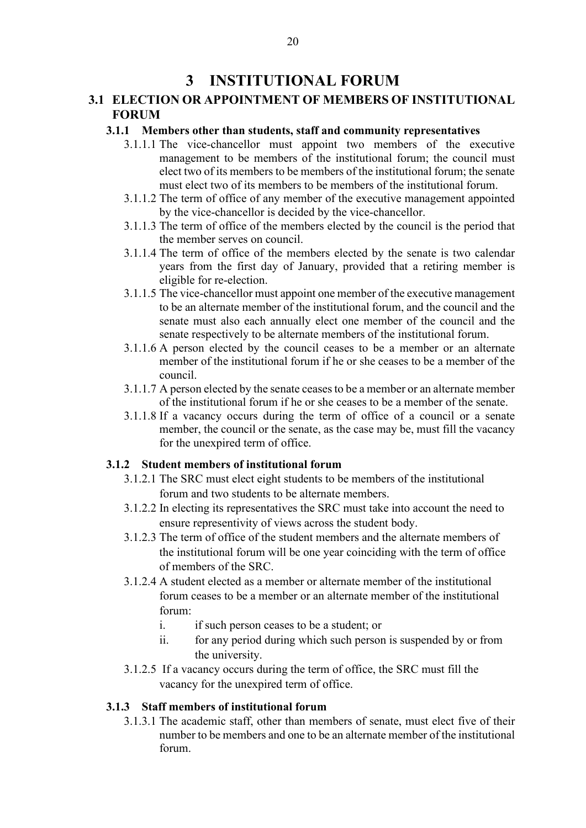### **3 INSTITUTIONAL FORUM**

### <span id="page-19-2"></span><span id="page-19-1"></span><span id="page-19-0"></span>**3.1 ELECTION OR APPOINTMENT OF MEMBERS OF INSTITUTIONAL FORUM**

### **3.1.1 Members other than students, staff and community representatives**

- 3.1.1.1 The vice-chancellor must appoint two members of the executive management to be members of the institutional forum; the council must elect two of its members to be members of the institutional forum; the senate must elect two of its members to be members of the institutional forum.
- 3.1.1.2 The term of office of any member of the executive management appointed by the vice-chancellor is decided by the vice-chancellor.
- 3.1.1.3 The term of office of the members elected by the council is the period that the member serves on council.
- 3.1.1.4 The term of office of the members elected by the senate is two calendar years from the first day of January, provided that a retiring member is eligible for re-election.
- 3.1.1.5 The vice-chancellor must appoint one member of the executive management to be an alternate member of the institutional forum, and the council and the senate must also each annually elect one member of the council and the senate respectively to be alternate members of the institutional forum.
- 3.1.1.6 A person elected by the council ceases to be a member or an alternate member of the institutional forum if he or she ceases to be a member of the council.
- 3.1.1.7 A person elected by the senate ceases to be a member or an alternate member of the institutional forum if he or she ceases to be a member of the senate.
- 3.1.1.8 If a vacancy occurs during the term of office of a council or a senate member, the council or the senate, as the case may be, must fill the vacancy for the unexpired term of office.

### <span id="page-19-3"></span>**3.1.2 Student members of institutional forum**

- 3.1.2.1 The SRC must elect eight students to be members of the institutional forum and two students to be alternate members.
- 3.1.2.2 In electing its representatives the SRC must take into account the need to ensure representivity of views across the student body.
- 3.1.2.3 The term of office of the student members and the alternate members of the institutional forum will be one year coinciding with the term of office of members of the SRC.
- 3.1.2.4 A student elected as a member or alternate member of the institutional forum ceases to be a member or an alternate member of the institutional forum:
	- i. if such person ceases to be a student; or
	- ii. for any period during which such person is suspended by or from the university.
- 3.1.2.5 If a vacancy occurs during the term of office, the SRC must fill the vacancy for the unexpired term of office.

### <span id="page-19-4"></span>**3.1.3 Staff members of institutional forum**

3.1.3.1 The academic staff, other than members of senate, must elect five of their number to be members and one to be an alternate member of the institutional forum.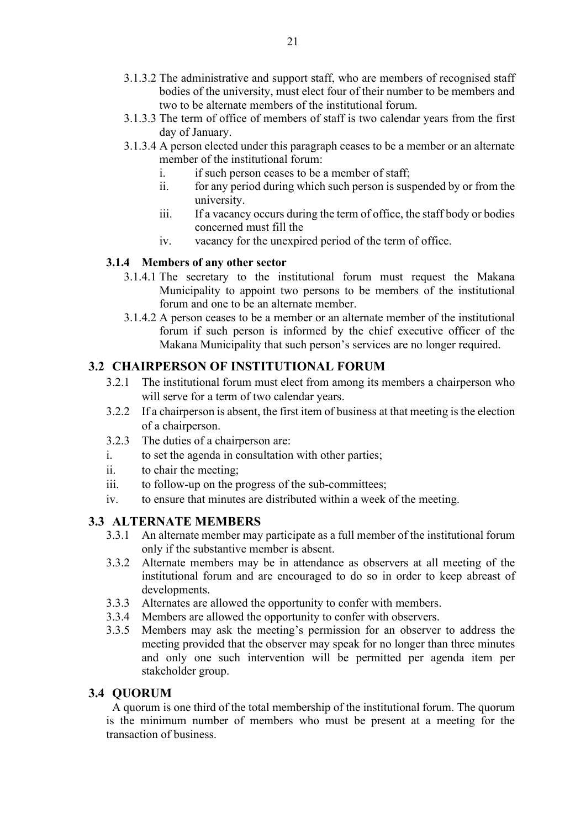- 3.1.3.2 The administrative and support staff, who are members of recognised staff bodies of the university, must elect four of their number to be members and two to be alternate members of the institutional forum.
- 3.1.3.3 The term of office of members of staff is two calendar years from the first day of January.
- 3.1.3.4 A person elected under this paragraph ceases to be a member or an alternate member of the institutional forum:
	- i. if such person ceases to be a member of staff;
	- ii. for any period during which such person is suspended by or from the university.
	- iii. If a vacancy occurs during the term of office, the staff body or bodies concerned must fill the
	- iv. vacancy for the unexpired period of the term of office.

### <span id="page-20-0"></span>**3.1.4 Members of any other sector**

- 3.1.4.1 The secretary to the institutional forum must request the Makana Municipality to appoint two persons to be members of the institutional forum and one to be an alternate member.
- 3.1.4.2 A person ceases to be a member or an alternate member of the institutional forum if such person is informed by the chief executive officer of the Makana Municipality that such person's services are no longer required.

### <span id="page-20-1"></span>**3.2 CHAIRPERSON OF INSTITUTIONAL FORUM**

- 3.2.1 The institutional forum must elect from among its members a chairperson who will serve for a term of two calendar years.
- 3.2.2 If a chairperson is absent, the first item of business at that meeting is the election of a chairperson.
- 3.2.3 The duties of a chairperson are:
- i. to set the agenda in consultation with other parties;
- ii. to chair the meeting;
- iii. to follow-up on the progress of the sub-committees;
- iv. to ensure that minutes are distributed within a week of the meeting.

### <span id="page-20-2"></span>**3.3 ALTERNATE MEMBERS**

- 3.3.1 An alternate member may participate as a full member of the institutional forum only if the substantive member is absent.
- 3.3.2 Alternate members may be in attendance as observers at all meeting of the institutional forum and are encouraged to do so in order to keep abreast of developments.
- 3.3.3 Alternates are allowed the opportunity to confer with members.
- 3.3.4 Members are allowed the opportunity to confer with observers.
- 3.3.5 Members may ask the meeting's permission for an observer to address the meeting provided that the observer may speak for no longer than three minutes and only one such intervention will be permitted per agenda item per stakeholder group.

### <span id="page-20-3"></span>**3.4 QUORUM**

A quorum is one third of the total membership of the institutional forum. The quorum is the minimum number of members who must be present at a meeting for the transaction of business.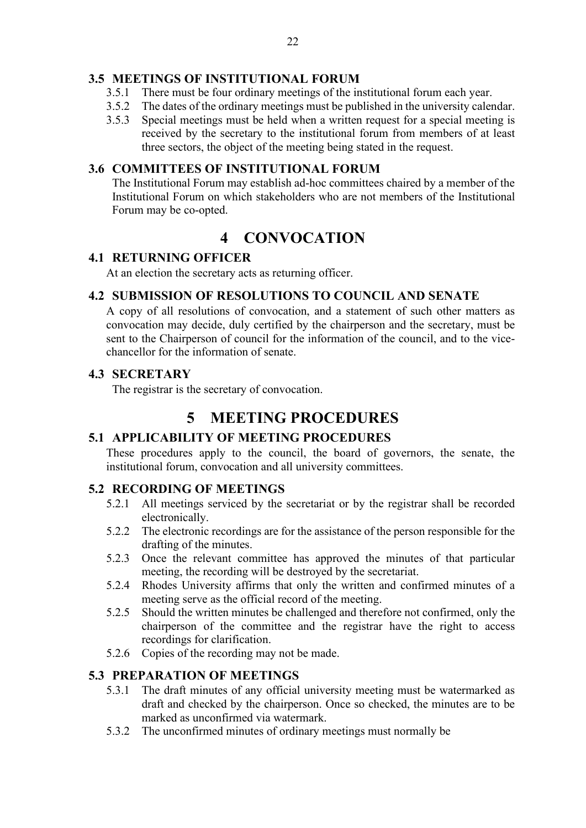### <span id="page-21-0"></span>**3.5 MEETINGS OF INSTITUTIONAL FORUM**

- 3.5.1 There must be four ordinary meetings of the institutional forum each year.
- 3.5.2 The dates of the ordinary meetings must be published in the university calendar.
- 3.5.3 Special meetings must be held when a written request for a special meeting is received by the secretary to the institutional forum from members of at least three sectors, the object of the meeting being stated in the request.

### <span id="page-21-1"></span>**3.6 COMMITTEES OF INSTITUTIONAL FORUM**

The Institutional Forum may establish ad-hoc committees chaired by a member of the Institutional Forum on which stakeholders who are not members of the Institutional Forum may be co-opted.

### **4 CONVOCATION**

### <span id="page-21-3"></span><span id="page-21-2"></span>**4.1 RETURNING OFFICER**

At an election the secretary acts as returning officer.

### <span id="page-21-4"></span>**4.2 SUBMISSION OF RESOLUTIONS TO COUNCIL AND SENATE**

A copy of all resolutions of convocation, and a statement of such other matters as convocation may decide, duly certified by the chairperson and the secretary, must be sent to the Chairperson of council for the information of the council, and to the vicechancellor for the information of senate.

### <span id="page-21-5"></span>**4.3 SECRETARY**

The registrar is the secretary of convocation.

### **5 MEETING PROCEDURES**

### <span id="page-21-7"></span><span id="page-21-6"></span>**5.1 APPLICABILITY OF MEETING PROCEDURES**

These procedures apply to the council, the board of governors, the senate, the institutional forum, convocation and all university committees.

### <span id="page-21-8"></span>**5.2 RECORDING OF MEETINGS**

- 5.2.1 All meetings serviced by the secretariat or by the registrar shall be recorded electronically.
- 5.2.2 The electronic recordings are for the assistance of the person responsible for the drafting of the minutes.
- 5.2.3 Once the relevant committee has approved the minutes of that particular meeting, the recording will be destroyed by the secretariat.
- 5.2.4 Rhodes University affirms that only the written and confirmed minutes of a meeting serve as the official record of the meeting.
- 5.2.5 Should the written minutes be challenged and therefore not confirmed, only the chairperson of the committee and the registrar have the right to access recordings for clarification.
- 5.2.6 Copies of the recording may not be made.

### <span id="page-21-9"></span>**5.3 PREPARATION OF MEETINGS**

- 5.3.1 The draft minutes of any official university meeting must be watermarked as draft and checked by the chairperson. Once so checked, the minutes are to be marked as unconfirmed via watermark.
- 5.3.2 The unconfirmed minutes of ordinary meetings must normally be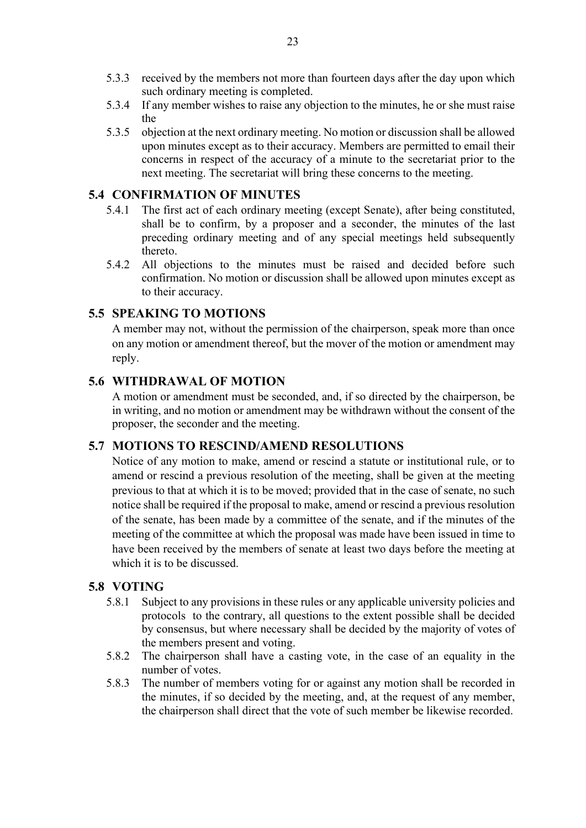- 5.3.3 received by the members not more than fourteen days after the day upon which such ordinary meeting is completed.
- 5.3.4 If any member wishes to raise any objection to the minutes, he or she must raise the
- 5.3.5 objection at the next ordinary meeting. No motion or discussion shall be allowed upon minutes except as to their accuracy. Members are permitted to email their concerns in respect of the accuracy of a minute to the secretariat prior to the next meeting. The secretariat will bring these concerns to the meeting.

### <span id="page-22-0"></span>**5.4 CONFIRMATION OF MINUTES**

- 5.4.1 The first act of each ordinary meeting (except Senate), after being constituted, shall be to confirm, by a proposer and a seconder, the minutes of the last preceding ordinary meeting and of any special meetings held subsequently thereto.
- 5.4.2 All objections to the minutes must be raised and decided before such confirmation. No motion or discussion shall be allowed upon minutes except as to their accuracy.

### <span id="page-22-1"></span>**5.5 SPEAKING TO MOTIONS**

A member may not, without the permission of the chairperson, speak more than once on any motion or amendment thereof, but the mover of the motion or amendment may reply.

### <span id="page-22-2"></span>**5.6 WITHDRAWAL OF MOTION**

A motion or amendment must be seconded, and, if so directed by the chairperson, be in writing, and no motion or amendment may be withdrawn without the consent of the proposer, the seconder and the meeting.

### <span id="page-22-3"></span>**5.7 MOTIONS TO RESCIND/AMEND RESOLUTIONS**

Notice of any motion to make, amend or rescind a statute or institutional rule, or to amend or rescind a previous resolution of the meeting, shall be given at the meeting previous to that at which it is to be moved; provided that in the case of senate, no such notice shall be required if the proposal to make, amend or rescind a previous resolution of the senate, has been made by a committee of the senate, and if the minutes of the meeting of the committee at which the proposal was made have been issued in time to have been received by the members of senate at least two days before the meeting at which it is to be discussed.

### <span id="page-22-4"></span>**5.8 VOTING**

- 5.8.1 Subject to any provisions in these rules or any applicable university policies and protocols to the contrary, all questions to the extent possible shall be decided by consensus, but where necessary shall be decided by the majority of votes of the members present and voting.
- 5.8.2 The chairperson shall have a casting vote, in the case of an equality in the number of votes.
- 5.8.3 The number of members voting for or against any motion shall be recorded in the minutes, if so decided by the meeting, and, at the request of any member, the chairperson shall direct that the vote of such member be likewise recorded.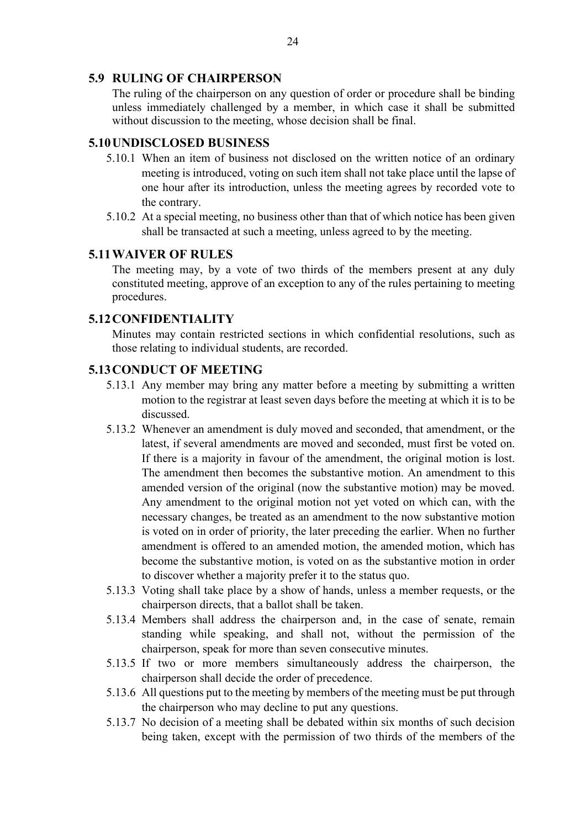### <span id="page-23-0"></span>**5.9 RULING OF CHAIRPERSON**

The ruling of the chairperson on any question of order or procedure shall be binding unless immediately challenged by a member, in which case it shall be submitted without discussion to the meeting, whose decision shall be final.

### <span id="page-23-1"></span>**5.10UNDISCLOSED BUSINESS**

- 5.10.1 When an item of business not disclosed on the written notice of an ordinary meeting is introduced, voting on such item shall not take place until the lapse of one hour after its introduction, unless the meeting agrees by recorded vote to the contrary.
- 5.10.2 At a special meeting, no business other than that of which notice has been given shall be transacted at such a meeting, unless agreed to by the meeting.

### <span id="page-23-2"></span>**5.11WAIVER OF RULES**

The meeting may, by a vote of two thirds of the members present at any duly constituted meeting, approve of an exception to any of the rules pertaining to meeting procedures.

### <span id="page-23-3"></span>**5.12CONFIDENTIALITY**

Minutes may contain restricted sections in which confidential resolutions, such as those relating to individual students, are recorded.

### <span id="page-23-4"></span>**5.13CONDUCT OF MEETING**

- 5.13.1 Any member may bring any matter before a meeting by submitting a written motion to the registrar at least seven days before the meeting at which it is to be discussed.
- 5.13.2 Whenever an amendment is duly moved and seconded, that amendment, or the latest, if several amendments are moved and seconded, must first be voted on. If there is a majority in favour of the amendment, the original motion is lost. The amendment then becomes the substantive motion. An amendment to this amended version of the original (now the substantive motion) may be moved. Any amendment to the original motion not yet voted on which can, with the necessary changes, be treated as an amendment to the now substantive motion is voted on in order of priority, the later preceding the earlier. When no further amendment is offered to an amended motion, the amended motion, which has become the substantive motion, is voted on as the substantive motion in order to discover whether a majority prefer it to the status quo.
- 5.13.3 Voting shall take place by a show of hands, unless a member requests, or the chairperson directs, that a ballot shall be taken.
- 5.13.4 Members shall address the chairperson and, in the case of senate, remain standing while speaking, and shall not, without the permission of the chairperson, speak for more than seven consecutive minutes.
- 5.13.5 If two or more members simultaneously address the chairperson, the chairperson shall decide the order of precedence.
- 5.13.6 All questions put to the meeting by members of the meeting must be put through the chairperson who may decline to put any questions.
- 5.13.7 No decision of a meeting shall be debated within six months of such decision being taken, except with the permission of two thirds of the members of the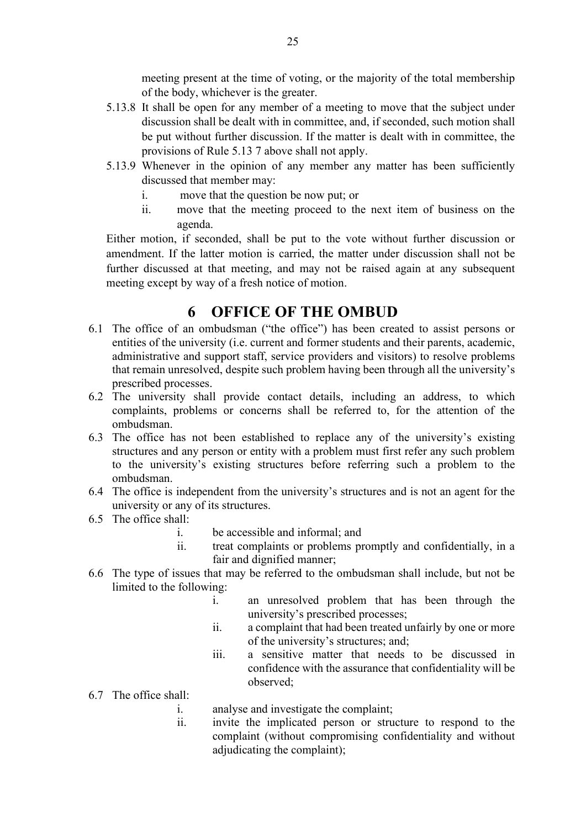meeting present at the time of voting, or the majority of the total membership of the body, whichever is the greater.

- 5.13.8 It shall be open for any member of a meeting to move that the subject under discussion shall be dealt with in committee, and, if seconded, such motion shall be put without further discussion. If the matter is dealt with in committee, the provisions of Rule 5.13 7 above shall not apply.
- 5.13.9 Whenever in the opinion of any member any matter has been sufficiently discussed that member may:
	- i. move that the question be now put; or
	- ii. move that the meeting proceed to the next item of business on the agenda.

Either motion, if seconded, shall be put to the vote without further discussion or amendment. If the latter motion is carried, the matter under discussion shall not be further discussed at that meeting, and may not be raised again at any subsequent meeting except by way of a fresh notice of motion.

### **6 OFFICE OF THE OMBUD**

- <span id="page-24-0"></span>6.1 The office of an ombudsman ("the office") has been created to assist persons or entities of the university (i.e. current and former students and their parents, academic, administrative and support staff, service providers and visitors) to resolve problems that remain unresolved, despite such problem having been through all the university's prescribed processes.
- 6.2 The university shall provide contact details, including an address, to which complaints, problems or concerns shall be referred to, for the attention of the ombudsman.
- 6.3 The office has not been established to replace any of the university's existing structures and any person or entity with a problem must first refer any such problem to the university's existing structures before referring such a problem to the ombudsman.
- 6.4 The office is independent from the university's structures and is not an agent for the university or any of its structures.
- 6.5 The office shall:
	- i. be accessible and informal; and
	- ii. treat complaints or problems promptly and confidentially, in a fair and dignified manner;
- 6.6 The type of issues that may be referred to the ombudsman shall include, but not be limited to the following:
	- i. an unresolved problem that has been through the university's prescribed processes;
	- ii. a complaint that had been treated unfairly by one or more of the university's structures; and;
	- iii. a sensitive matter that needs to be discussed in confidence with the assurance that confidentiality will be observed;
- 6.7 The office shall:
	- i. analyse and investigate the complaint;
	- ii. invite the implicated person or structure to respond to the complaint (without compromising confidentiality and without adjudicating the complaint);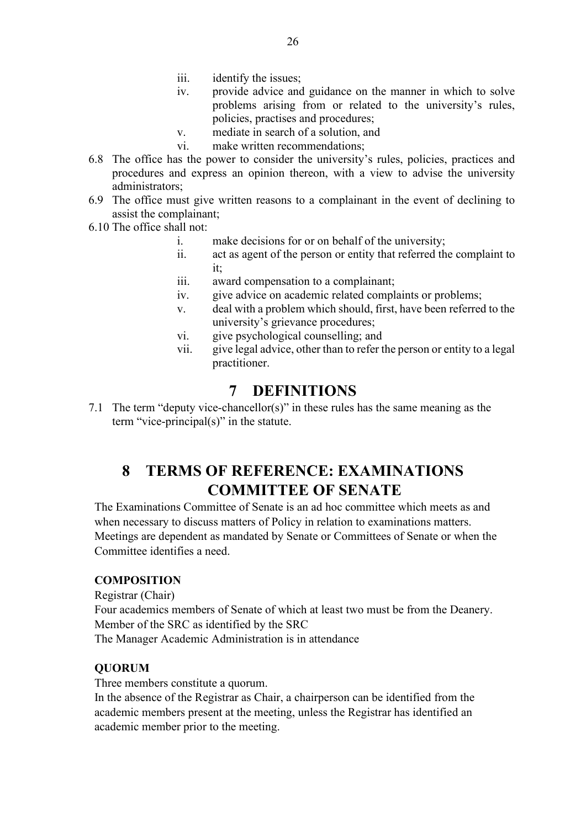- iii. identify the issues;
- iv. provide advice and guidance on the manner in which to solve problems arising from or related to the university's rules, policies, practises and procedures;
- v. mediate in search of a solution, and
- vi. make written recommendations;
- 6.8 The office has the power to consider the university's rules, policies, practices and procedures and express an opinion thereon, with a view to advise the university administrators;
- 6.9 The office must give written reasons to a complainant in the event of declining to assist the complainant;
- 6.10 The office shall not:
	- i. make decisions for or on behalf of the university;
	- ii. act as agent of the person or entity that referred the complaint to it;
	- iii. award compensation to a complainant;
	- iv. give advice on academic related complaints or problems;
	- v. deal with a problem which should, first, have been referred to the university's grievance procedures;
	- vi. give psychological counselling; and
	- vii. give legal advice, other than to refer the person or entity to a legal practitioner.

### **7 DEFINITIONS**

<span id="page-25-0"></span>7.1 The term "deputy vice-chancellor(s)" in these rules has the same meaning as the term "vice-principal(s)" in the statute.

### **8 TERMS OF REFERENCE: EXAMINATIONS COMMITTEE OF SENATE**

<span id="page-25-1"></span>The Examinations Committee of Senate is an ad hoc committee which meets as and when necessary to discuss matters of Policy in relation to examinations matters. Meetings are dependent as mandated by Senate or Committees of Senate or when the Committee identifies a need.

### **COMPOSITION**

Registrar (Chair) Four academics members of Senate of which at least two must be from the Deanery. Member of the SRC as identified by the SRC The Manager Academic Administration is in attendance

### **QUORUM**

Three members constitute a quorum.

In the absence of the Registrar as Chair, a chairperson can be identified from the academic members present at the meeting, unless the Registrar has identified an academic member prior to the meeting.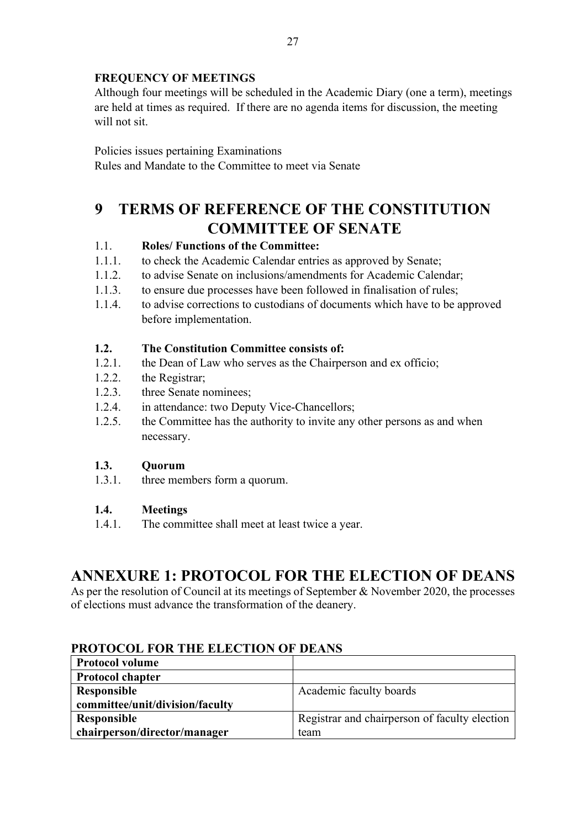### **FREQUENCY OF MEETINGS**

Although four meetings will be scheduled in the Academic Diary (one a term), meetings are held at times as required. If there are no agenda items for discussion, the meeting will not sit.

Policies issues pertaining Examinations Rules and Mandate to the Committee to meet via Senate

### <span id="page-26-0"></span>**9 TERMS OF REFERENCE OF THE CONSTITUTION COMMITTEE OF SENATE**

### 1.1. **Roles/ Functions of the Committee:**

- 1.1.1. to check the Academic Calendar entries as approved by Senate;
- 1.1.2. to advise Senate on inclusions/amendments for Academic Calendar;
- 1.1.3. to ensure due processes have been followed in finalisation of rules;
- 1.1.4. to advise corrections to custodians of documents which have to be approved before implementation.

### **1.2. The Constitution Committee consists of:**

- 1.2.1. the Dean of Law who serves as the Chairperson and ex officio;
- 1.2.2. the Registrar;
- 1.2.3. three Senate nominees;
- 1.2.4. in attendance: two Deputy Vice-Chancellors;
- 1.2.5. the Committee has the authority to invite any other persons as and when necessary.

### **1.3. Quorum**

1.3.1. three members form a quorum.

### **1.4. Meetings**

1.4.1. The committee shall meet at least twice a year.

### **ANNEXURE 1: PROTOCOL FOR THE ELECTION OF DEANS**

As per the resolution of Council at its meetings of September & November 2020, the processes of elections must advance the transformation of the deanery.

| <b>Protocol volume</b>          |                                               |  |
|---------------------------------|-----------------------------------------------|--|
| <b>Protocol chapter</b>         |                                               |  |
| Responsible                     | Academic faculty boards                       |  |
| committee/unit/division/faculty |                                               |  |
| Responsible                     | Registrar and chairperson of faculty election |  |
| chairperson/director/manager    | team                                          |  |

### **PROTOCOL FOR THE ELECTION OF DEANS**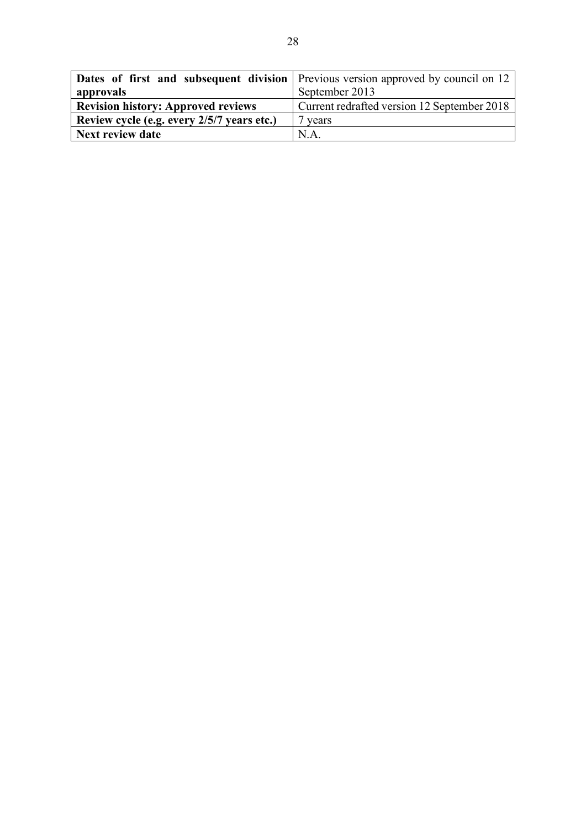|                                            | <b>Dates of first and subsequent division</b> Previous version approved by council on 12 |  |
|--------------------------------------------|------------------------------------------------------------------------------------------|--|
| approvals                                  | September 2013                                                                           |  |
| <b>Revision history: Approved reviews</b>  | Current redrafted version 12 September 2018                                              |  |
| Review cycle (e.g. every 2/5/7 years etc.) | 7 years                                                                                  |  |
| <b>Next review date</b>                    | N.A                                                                                      |  |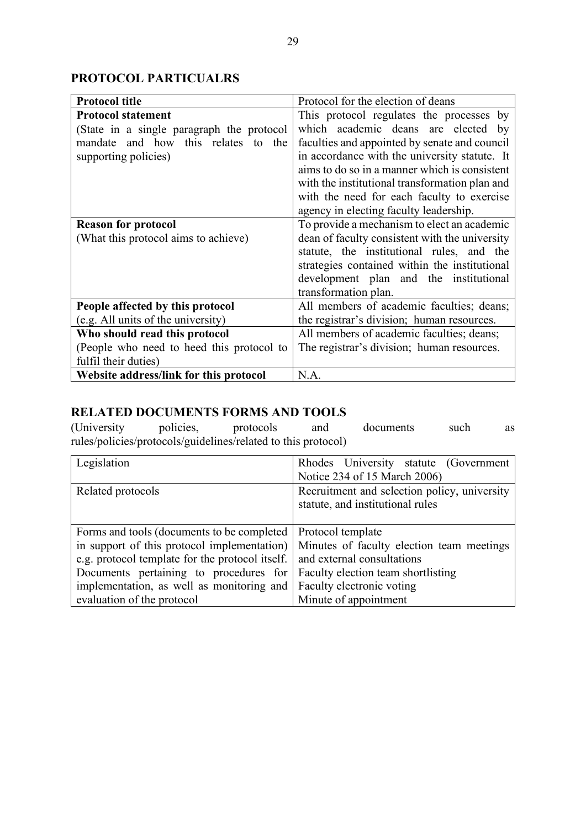### **PROTOCOL PARTICUALRS**

| <b>Protocol title</b>                     | Protocol for the election of deans             |  |
|-------------------------------------------|------------------------------------------------|--|
| <b>Protocol statement</b>                 | This protocol regulates the processes by       |  |
| (State in a single paragraph the protocol | which academic deans are elected by            |  |
| mandate and how this relates to the       | faculties and appointed by senate and council  |  |
| supporting policies)                      | in accordance with the university statute. It  |  |
|                                           | aims to do so in a manner which is consistent  |  |
|                                           | with the institutional transformation plan and |  |
|                                           | with the need for each faculty to exercise     |  |
|                                           | agency in electing faculty leadership.         |  |
| <b>Reason for protocol</b>                | To provide a mechanism to elect an academic    |  |
| (What this protocol aims to achieve)      | dean of faculty consistent with the university |  |
|                                           | statute, the institutional rules, and the      |  |
|                                           | strategies contained within the institutional  |  |
|                                           | development plan and the institutional         |  |
|                                           | transformation plan.                           |  |
| People affected by this protocol          | All members of academic faculties; deans;      |  |
| (e.g. All units of the university)        | the registrar's division; human resources.     |  |
| Who should read this protocol             | All members of academic faculties; deans;      |  |
| (People who need to heed this protocol to | The registrar's division; human resources.     |  |
| fulfil their duties)                      |                                                |  |
| Website address/link for this protocol    | N.A.                                           |  |

## **RELATED DOCUMENTS FORMS AND TOOLS**<br>(University policies, protocols and

(University policies, protocols and documents such as rules/policies/protocols/guidelines/related to this protocol)

| Legislation                                                                  | Rhodes University statute (Government                                                 |
|------------------------------------------------------------------------------|---------------------------------------------------------------------------------------|
|                                                                              | Notice 234 of 15 March 2006)                                                          |
| Related protocols                                                            | Recruitment and selection policy, university                                          |
|                                                                              | statute, and institutional rules                                                      |
|                                                                              |                                                                                       |
| Forms and tools (documents to be completed   Protocol template               |                                                                                       |
|                                                                              | in support of this protocol implementation) Minutes of faculty election team meetings |
| e.g. protocol template for the protocol itself.   and external consultations |                                                                                       |
| Documents pertaining to procedures for Faculty election team shortlisting    |                                                                                       |
| implementation, as well as monitoring and Faculty electronic voting          |                                                                                       |
| evaluation of the protocol                                                   | Minute of appointment                                                                 |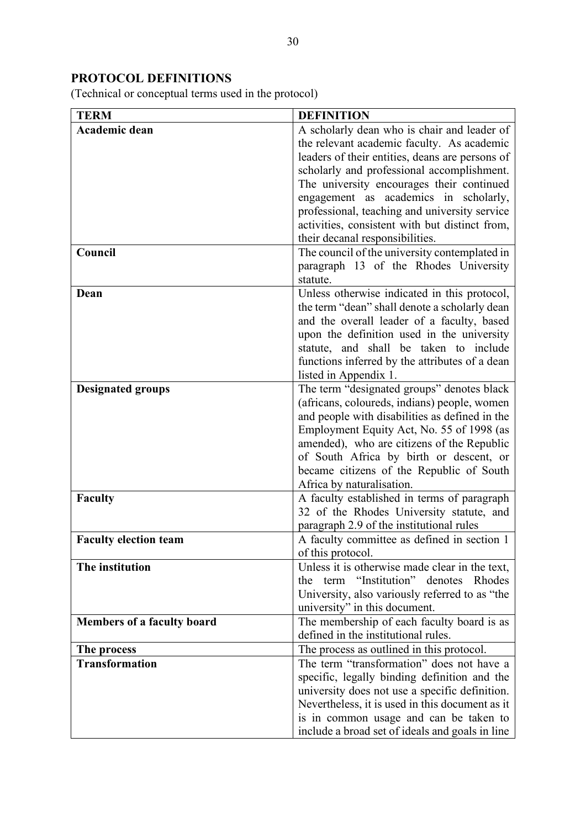### **PROTOCOL DEFINITIONS**

(Technical or conceptual terms used in the protocol)

| <b>TERM</b>                       | <b>DEFINITION</b>                                                                                  |
|-----------------------------------|----------------------------------------------------------------------------------------------------|
| Academic dean                     | A scholarly dean who is chair and leader of                                                        |
|                                   | the relevant academic faculty. As academic                                                         |
|                                   | leaders of their entities, deans are persons of                                                    |
|                                   | scholarly and professional accomplishment.                                                         |
|                                   | The university encourages their continued                                                          |
|                                   | engagement as academics in scholarly,                                                              |
|                                   | professional, teaching and university service                                                      |
|                                   | activities, consistent with but distinct from,                                                     |
|                                   | their decanal responsibilities.                                                                    |
| Council                           | The council of the university contemplated in<br>paragraph 13 of the Rhodes University<br>statute. |
| Dean                              | Unless otherwise indicated in this protocol,                                                       |
|                                   | the term "dean" shall denote a scholarly dean                                                      |
|                                   | and the overall leader of a faculty, based                                                         |
|                                   | upon the definition used in the university                                                         |
|                                   | statute, and shall be taken to include                                                             |
|                                   | functions inferred by the attributes of a dean                                                     |
|                                   | listed in Appendix 1.                                                                              |
| <b>Designated groups</b>          | The term "designated groups" denotes black                                                         |
|                                   | (africans, coloureds, indians) people, women                                                       |
|                                   | and people with disabilities as defined in the                                                     |
|                                   | Employment Equity Act, No. 55 of 1998 (as                                                          |
|                                   | amended), who are citizens of the Republic                                                         |
|                                   | of South Africa by birth or descent, or                                                            |
|                                   | became citizens of the Republic of South                                                           |
|                                   | Africa by naturalisation.                                                                          |
| <b>Faculty</b>                    | A faculty established in terms of paragraph                                                        |
|                                   | 32 of the Rhodes University statute, and                                                           |
|                                   | paragraph 2.9 of the institutional rules                                                           |
| <b>Faculty election team</b>      | A faculty committee as defined in section 1                                                        |
| The institution                   | of this protocol.                                                                                  |
|                                   | Unless it is otherwise made clear in the text,<br>term "Institution" denotes Rhodes<br>the         |
|                                   | University, also variously referred to as "the                                                     |
|                                   | university" in this document.                                                                      |
| <b>Members of a faculty board</b> | The membership of each faculty board is as                                                         |
|                                   | defined in the institutional rules.                                                                |
| The process                       | The process as outlined in this protocol.                                                          |
| <b>Transformation</b>             | The term "transformation" does not have a                                                          |
|                                   | specific, legally binding definition and the                                                       |
|                                   | university does not use a specific definition.                                                     |
|                                   | Nevertheless, it is used in this document as it                                                    |
|                                   | is in common usage and can be taken to                                                             |
|                                   | include a broad set of ideals and goals in line                                                    |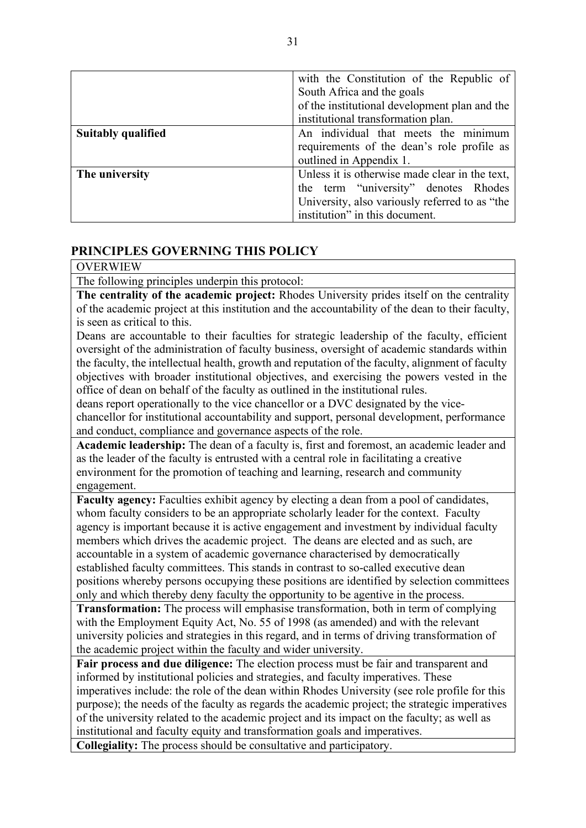|                                                                  | with the Constitution of the Republic of       |  |  |
|------------------------------------------------------------------|------------------------------------------------|--|--|
|                                                                  | South Africa and the goals                     |  |  |
|                                                                  | of the institutional development plan and the  |  |  |
|                                                                  | institutional transformation plan.             |  |  |
| <b>Suitably qualified</b>                                        | An individual that meets the minimum           |  |  |
|                                                                  | requirements of the dean's role profile as     |  |  |
|                                                                  | outlined in Appendix 1.                        |  |  |
| Unless it is otherwise made clear in the text,<br>The university |                                                |  |  |
|                                                                  | the term "university" denotes Rhodes           |  |  |
|                                                                  | University, also variously referred to as "the |  |  |
|                                                                  | institution" in this document.                 |  |  |

### **PRINCIPLES GOVERNING THIS POLICY**

### OVERWIEW

The following principles underpin this protocol:

**The centrality of the academic project:** Rhodes University prides itself on the centrality of the academic project at this institution and the accountability of the dean to their faculty, is seen as critical to this.

Deans are accountable to their faculties for strategic leadership of the faculty, efficient oversight of the administration of faculty business, oversight of academic standards within the faculty, the intellectual health, growth and reputation of the faculty, alignment of faculty objectives with broader institutional objectives, and exercising the powers vested in the office of dean on behalf of the faculty as outlined in the institutional rules.

deans report operationally to the vice chancellor or a DVC designated by the vicechancellor for institutional accountability and support, personal development, performance and conduct, compliance and governance aspects of the role.

**Academic leadership:** The dean of a faculty is, first and foremost, an academic leader and as the leader of the faculty is entrusted with a central role in facilitating a creative environment for the promotion of teaching and learning, research and community engagement.

**Faculty agency:** Faculties exhibit agency by electing a dean from a pool of candidates, whom faculty considers to be an appropriate scholarly leader for the context. Faculty agency is important because it is active engagement and investment by individual faculty members which drives the academic project. The deans are elected and as such, are accountable in a system of academic governance characterised by democratically established faculty committees. This stands in contrast to so-called executive dean positions whereby persons occupying these positions are identified by selection committees only and which thereby deny faculty the opportunity to be agentive in the process.

**Transformation:** The process will emphasise transformation, both in term of complying with the Employment Equity Act, No. 55 of 1998 (as amended) and with the relevant university policies and strategies in this regard, and in terms of driving transformation of the academic project within the faculty and wider university.

**Fair process and due diligence:** The election process must be fair and transparent and informed by institutional policies and strategies, and faculty imperatives. These imperatives include: the role of the dean within Rhodes University (see role profile for this purpose); the needs of the faculty as regards the academic project; the strategic imperatives of the university related to the academic project and its impact on the faculty; as well as institutional and faculty equity and transformation goals and imperatives.

**Collegiality:** The process should be consultative and participatory.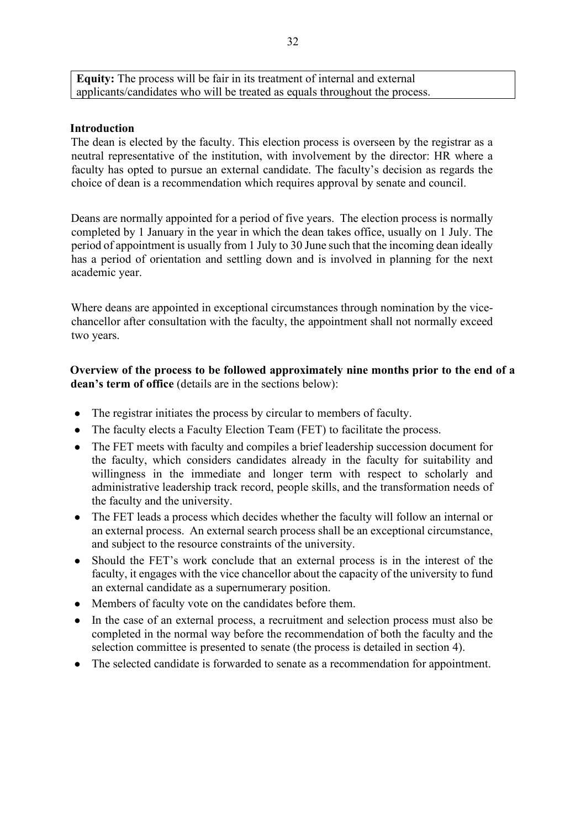**Equity:** The process will be fair in its treatment of internal and external applicants/candidates who will be treated as equals throughout the process.

### **Introduction**

The dean is elected by the faculty. This election process is overseen by the registrar as a neutral representative of the institution, with involvement by the director: HR where a faculty has opted to pursue an external candidate. The faculty's decision as regards the choice of dean is a recommendation which requires approval by senate and council.

Deans are normally appointed for a period of five years. The election process is normally completed by 1 January in the year in which the dean takes office, usually on 1 July. The period of appointment is usually from 1 July to 30 June such that the incoming dean ideally has a period of orientation and settling down and is involved in planning for the next academic year.

Where deans are appointed in exceptional circumstances through nomination by the vicechancellor after consultation with the faculty, the appointment shall not normally exceed two years.

**Overview of the process to be followed approximately nine months prior to the end of a dean's term of office** (details are in the sections below):

- The registrar initiates the process by circular to members of faculty.
- The faculty elects a Faculty Election Team (FET) to facilitate the process.
- The FET meets with faculty and compiles a brief leadership succession document for the faculty, which considers candidates already in the faculty for suitability and willingness in the immediate and longer term with respect to scholarly and administrative leadership track record, people skills, and the transformation needs of the faculty and the university.
- The FET leads a process which decides whether the faculty will follow an internal or an external process. An external search process shall be an exceptional circumstance, and subject to the resource constraints of the university.
- Should the FET's work conclude that an external process is in the interest of the faculty, it engages with the vice chancellor about the capacity of the university to fund an external candidate as a supernumerary position.
- Members of faculty vote on the candidates before them.
- In the case of an external process, a recruitment and selection process must also be completed in the normal way before the recommendation of both the faculty and the selection committee is presented to senate (the process is detailed in section 4).
- The selected candidate is forwarded to senate as a recommendation for appointment.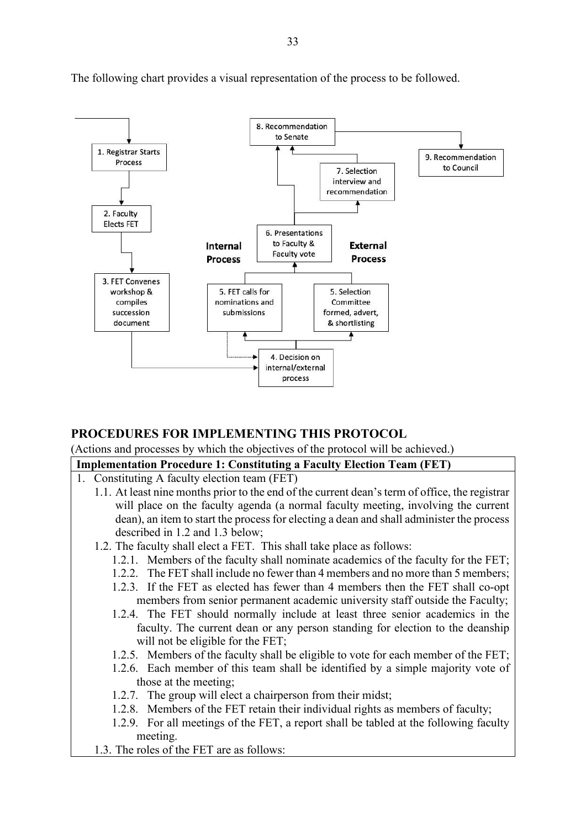

The following chart provides a visual representation of the process to be followed.

### **PROCEDURES FOR IMPLEMENTING THIS PROTOCOL**

(Actions and processes by which the objectives of the protocol will be achieved.)

### **Implementation Procedure 1: Constituting a Faculty Election Team (FET)**

- 1. Constituting A faculty election team (FET)
	- 1.1. At least nine months prior to the end of the current dean's term of office, the registrar will place on the faculty agenda (a normal faculty meeting, involving the current dean), an item to start the process for electing a dean and shall administer the process described in 1.2 and 1.3 below;
	- 1.2. The faculty shall elect a FET. This shall take place as follows:
		- 1.2.1. Members of the faculty shall nominate academics of the faculty for the FET;
		- 1.2.2. The FET shall include no fewer than 4 members and no more than 5 members;
		- 1.2.3. If the FET as elected has fewer than 4 members then the FET shall co-opt members from senior permanent academic university staff outside the Faculty;
		- 1.2.4. The FET should normally include at least three senior academics in the faculty. The current dean or any person standing for election to the deanship will not be eligible for the FET;
		- 1.2.5. Members of the faculty shall be eligible to vote for each member of the FET;
		- 1.2.6. Each member of this team shall be identified by a simple majority vote of those at the meeting;
		- 1.2.7. The group will elect a chairperson from their midst;
		- 1.2.8. Members of the FET retain their individual rights as members of faculty;
		- 1.2.9. For all meetings of the FET, a report shall be tabled at the following faculty meeting.
	- 1.3. The roles of the FET are as follows: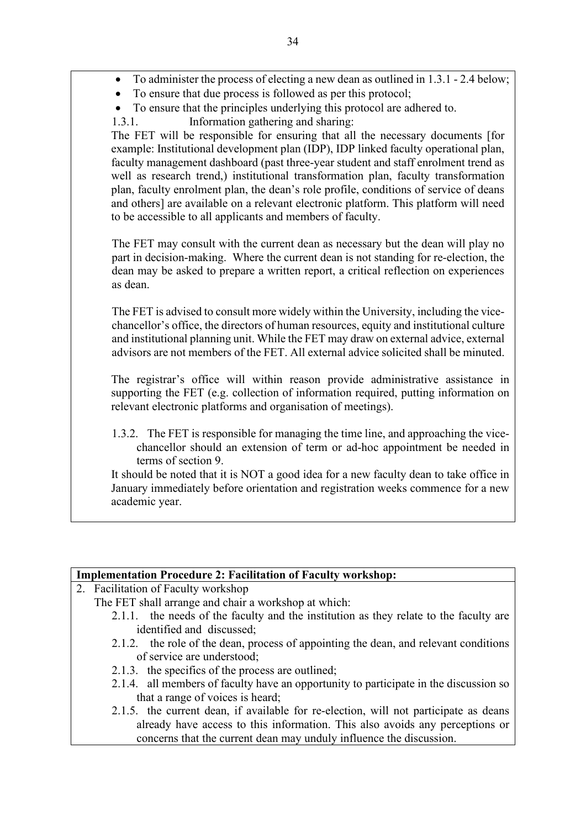- To administer the process of electing a new dean as outlined in 1.3.1 2.4 below;
- To ensure that due process is followed as per this protocol;
- To ensure that the principles underlying this protocol are adhered to.
- 1.3.1. Information gathering and sharing:

The FET will be responsible for ensuring that all the necessary documents [for example: Institutional development plan (IDP), IDP linked faculty operational plan, faculty management dashboard (past three-year student and staff enrolment trend as well as research trend,) institutional transformation plan, faculty transformation plan, faculty enrolment plan, the dean's role profile, conditions of service of deans and others] are available on a relevant electronic platform. This platform will need to be accessible to all applicants and members of faculty.

The FET may consult with the current dean as necessary but the dean will play no part in decision-making. Where the current dean is not standing for re-election, the dean may be asked to prepare a written report, a critical reflection on experiences as dean.

The FET is advised to consult more widely within the University, including the vicechancellor's office, the directors of human resources, equity and institutional culture and institutional planning unit. While the FET may draw on external advice, external advisors are not members of the FET. All external advice solicited shall be minuted.

The registrar's office will within reason provide administrative assistance in supporting the FET (e.g. collection of information required, putting information on relevant electronic platforms and organisation of meetings).

1.3.2. The FET is responsible for managing the time line, and approaching the vicechancellor should an extension of term or ad-hoc appointment be needed in terms of section 9.

It should be noted that it is NOT a good idea for a new faculty dean to take office in January immediately before orientation and registration weeks commence for a new academic year.

### **Implementation Procedure 2: Facilitation of Faculty workshop:**

- 2. Facilitation of Faculty workshop
	- The FET shall arrange and chair a workshop at which:
		- 2.1.1. the needs of the faculty and the institution as they relate to the faculty are identified and discussed;
		- 2.1.2. the role of the dean, process of appointing the dean, and relevant conditions of service are understood;
		- 2.1.3. the specifics of the process are outlined;
		- 2.1.4. all members of faculty have an opportunity to participate in the discussion so that a range of voices is heard;
		- 2.1.5. the current dean, if available for re-election, will not participate as deans already have access to this information. This also avoids any perceptions or concerns that the current dean may unduly influence the discussion.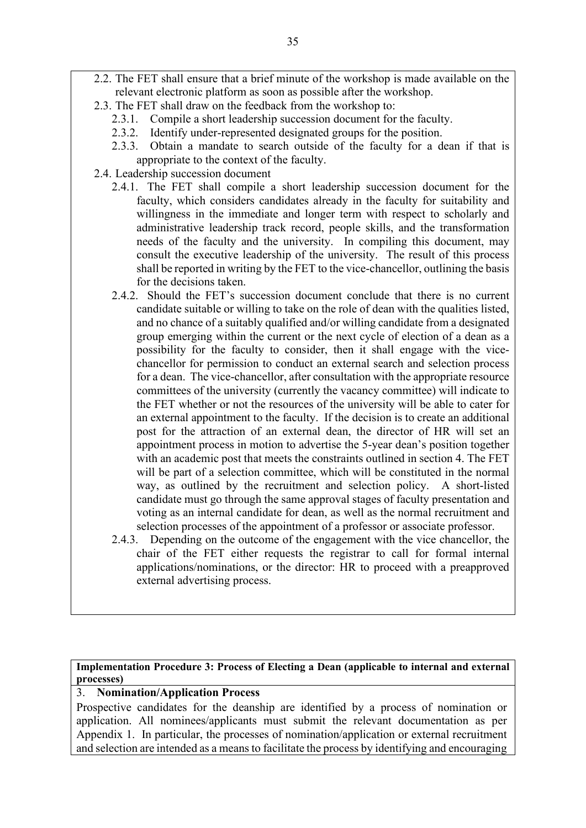- 2.2. The FET shall ensure that a brief minute of the workshop is made available on the relevant electronic platform as soon as possible after the workshop.
- 2.3. The FET shall draw on the feedback from the workshop to:
	- 2.3.1. Compile a short leadership succession document for the faculty.
	- 2.3.2. Identify under-represented designated groups for the position.
	- 2.3.3. Obtain a mandate to search outside of the faculty for a dean if that is appropriate to the context of the faculty.
- 2.4. Leadership succession document
	- 2.4.1. The FET shall compile a short leadership succession document for the faculty, which considers candidates already in the faculty for suitability and willingness in the immediate and longer term with respect to scholarly and administrative leadership track record, people skills, and the transformation needs of the faculty and the university. In compiling this document, may consult the executive leadership of the university. The result of this process shall be reported in writing by the FET to the vice-chancellor, outlining the basis for the decisions taken.
	- 2.4.2. Should the FET's succession document conclude that there is no current candidate suitable or willing to take on the role of dean with the qualities listed, and no chance of a suitably qualified and/or willing candidate from a designated group emerging within the current or the next cycle of election of a dean as a possibility for the faculty to consider, then it shall engage with the vicechancellor for permission to conduct an external search and selection process for a dean. The vice-chancellor, after consultation with the appropriate resource committees of the university (currently the vacancy committee) will indicate to the FET whether or not the resources of the university will be able to cater for an external appointment to the faculty. If the decision is to create an additional post for the attraction of an external dean, the director of HR will set an appointment process in motion to advertise the 5-year dean's position together with an academic post that meets the constraints outlined in section 4. The FET will be part of a selection committee, which will be constituted in the normal way, as outlined by the recruitment and selection policy. A short-listed candidate must go through the same approval stages of faculty presentation and voting as an internal candidate for dean, as well as the normal recruitment and selection processes of the appointment of a professor or associate professor.
	- 2.4.3. Depending on the outcome of the engagement with the vice chancellor, the chair of the FET either requests the registrar to call for formal internal applications/nominations, or the director: HR to proceed with a preapproved external advertising process.

**Implementation Procedure 3: Process of Electing a Dean (applicable to internal and external processes)**

### 3. **Nomination/Application Process**

Prospective candidates for the deanship are identified by a process of nomination or application. All nominees/applicants must submit the relevant documentation as per Appendix 1. In particular, the processes of nomination/application or external recruitment and selection are intended as a means to facilitate the process by identifying and encouraging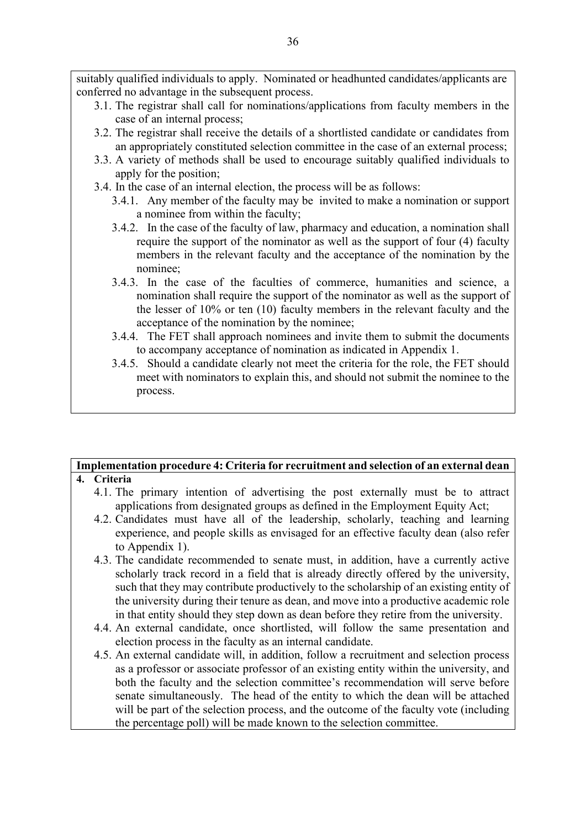suitably qualified individuals to apply. Nominated or headhunted candidates/applicants are conferred no advantage in the subsequent process.

- 3.1. The registrar shall call for nominations/applications from faculty members in the case of an internal process;
- 3.2. The registrar shall receive the details of a shortlisted candidate or candidates from an appropriately constituted selection committee in the case of an external process;
- 3.3. A variety of methods shall be used to encourage suitably qualified individuals to apply for the position;
- 3.4. In the case of an internal election, the process will be as follows:
	- 3.4.1. Any member of the faculty may be invited to make a nomination or support a nominee from within the faculty;
	- 3.4.2. In the case of the faculty of law, pharmacy and education, a nomination shall require the support of the nominator as well as the support of four (4) faculty members in the relevant faculty and the acceptance of the nomination by the nominee;
	- 3.4.3. In the case of the faculties of commerce, humanities and science, a nomination shall require the support of the nominator as well as the support of the lesser of 10% or ten (10) faculty members in the relevant faculty and the acceptance of the nomination by the nominee;
	- 3.4.4. The FET shall approach nominees and invite them to submit the documents to accompany acceptance of nomination as indicated in Appendix 1.
	- 3.4.5. Should a candidate clearly not meet the criteria for the role, the FET should meet with nominators to explain this, and should not submit the nominee to the process.

#### **Implementation procedure 4: Criteria for recruitment and selection of an external dean 4. Criteria**

- 4.1. The primary intention of advertising the post externally must be to attract applications from designated groups as defined in the Employment Equity Act;
- 4.2. Candidates must have all of the leadership, scholarly, teaching and learning experience, and people skills as envisaged for an effective faculty dean (also refer to Appendix 1).
- 4.3. The candidate recommended to senate must, in addition, have a currently active scholarly track record in a field that is already directly offered by the university, such that they may contribute productively to the scholarship of an existing entity of the university during their tenure as dean, and move into a productive academic role in that entity should they step down as dean before they retire from the university.
- 4.4. An external candidate, once shortlisted, will follow the same presentation and election process in the faculty as an internal candidate.
- 4.5. An external candidate will, in addition, follow a recruitment and selection process as a professor or associate professor of an existing entity within the university, and both the faculty and the selection committee's recommendation will serve before senate simultaneously. The head of the entity to which the dean will be attached will be part of the selection process, and the outcome of the faculty vote (including the percentage poll) will be made known to the selection committee.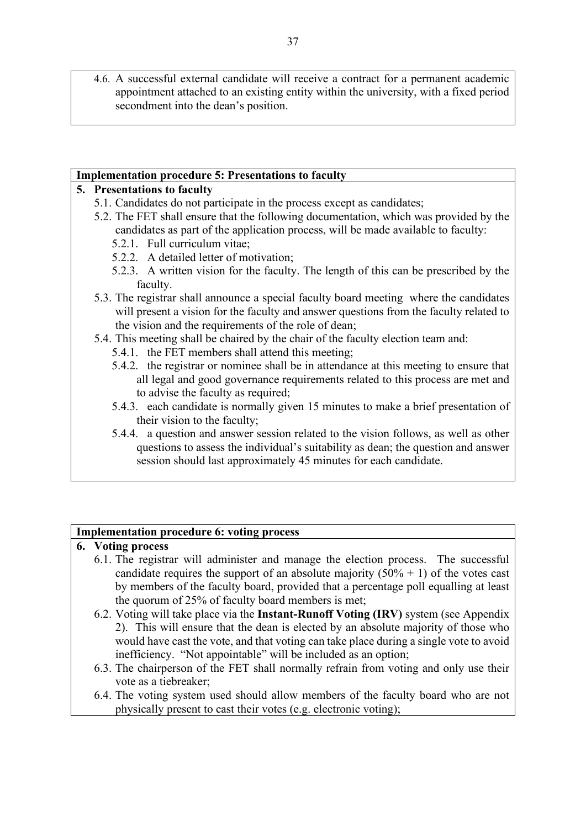4.6. A successful external candidate will receive a contract for a permanent academic appointment attached to an existing entity within the university, with a fixed period secondment into the dean's position.

### **Implementation procedure 5: Presentations to faculty**

### **5. Presentations to faculty**

- 5.1. Candidates do not participate in the process except as candidates;
- 5.2. The FET shall ensure that the following documentation, which was provided by the candidates as part of the application process, will be made available to faculty:
	- 5.2.1. Full curriculum vitae;
	- 5.2.2. A detailed letter of motivation;
	- 5.2.3. A written vision for the faculty. The length of this can be prescribed by the faculty.
- 5.3. The registrar shall announce a special faculty board meeting where the candidates will present a vision for the faculty and answer questions from the faculty related to the vision and the requirements of the role of dean;
- 5.4. This meeting shall be chaired by the chair of the faculty election team and:
	- 5.4.1. the FET members shall attend this meeting;
	- 5.4.2. the registrar or nominee shall be in attendance at this meeting to ensure that all legal and good governance requirements related to this process are met and to advise the faculty as required;
	- 5.4.3. each candidate is normally given 15 minutes to make a brief presentation of their vision to the faculty;
	- 5.4.4. a question and answer session related to the vision follows, as well as other questions to assess the individual's suitability as dean; the question and answer session should last approximately 45 minutes for each candidate.

### **Implementation procedure 6: voting process**

### **6. Voting process**

- 6.1. The registrar will administer and manage the election process. The successful candidate requires the support of an absolute majority  $(50\% + 1)$  of the votes cast by members of the faculty board, provided that a percentage poll equalling at least the quorum of 25% of faculty board members is met;
- 6.2. Voting will take place via the **Instant-Runoff Voting (IRV)** system (see Appendix 2). This will ensure that the dean is elected by an absolute majority of those who would have cast the vote, and that voting can take place during a single vote to avoid inefficiency. "Not appointable" will be included as an option;
- 6.3. The chairperson of the FET shall normally refrain from voting and only use their vote as a tiebreaker;
- 6.4. The voting system used should allow members of the faculty board who are not physically present to cast their votes (e.g. electronic voting);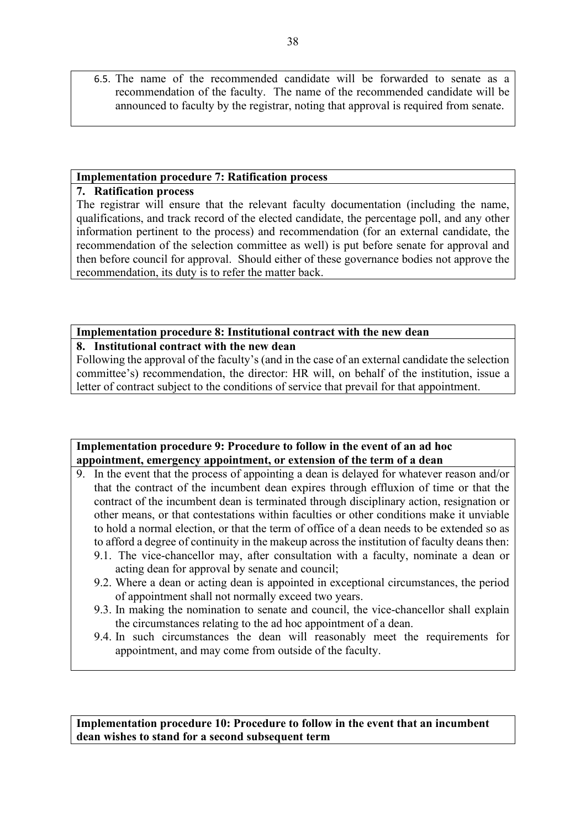6.5. The name of the recommended candidate will be forwarded to senate as a recommendation of the faculty. The name of the recommended candidate will be announced to faculty by the registrar, noting that approval is required from senate.

### **Implementation procedure 7: Ratification process**

### **7. Ratification process**

The registrar will ensure that the relevant faculty documentation (including the name, qualifications, and track record of the elected candidate, the percentage poll, and any other information pertinent to the process) and recommendation (for an external candidate, the recommendation of the selection committee as well) is put before senate for approval and then before council for approval. Should either of these governance bodies not approve the recommendation, its duty is to refer the matter back.

### **Implementation procedure 8: Institutional contract with the new dean**

### **8. Institutional contract with the new dean**

Following the approval of the faculty's (and in the case of an external candidate the selection committee's) recommendation, the director: HR will, on behalf of the institution, issue a letter of contract subject to the conditions of service that prevail for that appointment.

### **Implementation procedure 9: Procedure to follow in the event of an ad hoc appointment, emergency appointment, or extension of the term of a dean**

- 9. In the event that the process of appointing a dean is delayed for whatever reason and/or that the contract of the incumbent dean expires through effluxion of time or that the contract of the incumbent dean is terminated through disciplinary action, resignation or other means, or that contestations within faculties or other conditions make it unviable to hold a normal election, or that the term of office of a dean needs to be extended so as to afford a degree of continuity in the makeup across the institution of faculty deans then:
	- 9.1. The vice-chancellor may, after consultation with a faculty, nominate a dean or acting dean for approval by senate and council;
	- 9.2. Where a dean or acting dean is appointed in exceptional circumstances, the period of appointment shall not normally exceed two years.
	- 9.3. In making the nomination to senate and council, the vice-chancellor shall explain the circumstances relating to the ad hoc appointment of a dean.
	- 9.4. In such circumstances the dean will reasonably meet the requirements for appointment, and may come from outside of the faculty.

**Implementation procedure 10: Procedure to follow in the event that an incumbent dean wishes to stand for a second subsequent term**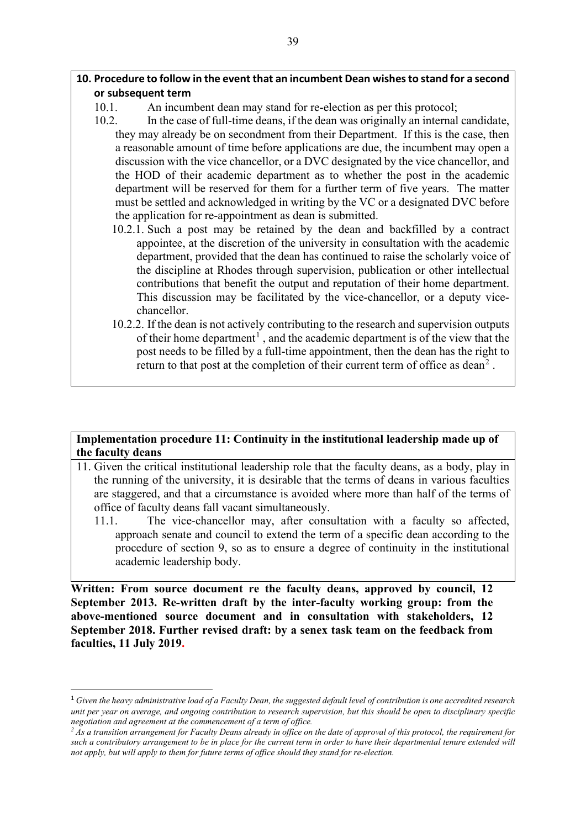### **10. Procedure to follow in the event that an incumbent Dean wishes to stand for a second or subsequent term**

- 10.1. An incumbent dean may stand for re-election as per this protocol;
- 10.2. In the case of full-time deans, if the dean was originally an internal candidate, they may already be on secondment from their Department. If this is the case, then a reasonable amount of time before applications are due, the incumbent may open a discussion with the vice chancellor, or a DVC designated by the vice chancellor, and the HOD of their academic department as to whether the post in the academic department will be reserved for them for a further term of five years. The matter must be settled and acknowledged in writing by the VC or a designated DVC before the application for re-appointment as dean is submitted.
	- 10.2.1. Such a post may be retained by the dean and backfilled by a contract appointee, at the discretion of the university in consultation with the academic department, provided that the dean has continued to raise the scholarly voice of the discipline at Rhodes through supervision, publication or other intellectual contributions that benefit the output and reputation of their home department. This discussion may be facilitated by the vice-chancellor, or a deputy vicechancellor.
	- 10.2.2. If the dean is not actively contributing to the research and supervision outputs of their home department<sup>[1](#page-38-0)</sup>, and the academic department is of the view that the post needs to be filled by a full-time appointment, then the dean has the right to return to that post at the completion of their current term of office as dean<sup>[2](#page-38-1)</sup>.

### **Implementation procedure 11: Continuity in the institutional leadership made up of the faculty deans**

- 11. Given the critical institutional leadership role that the faculty deans, as a body, play in the running of the university, it is desirable that the terms of deans in various faculties are staggered, and that a circumstance is avoided where more than half of the terms of office of faculty deans fall vacant simultaneously.
	- 11.1. The vice-chancellor may, after consultation with a faculty so affected, approach senate and council to extend the term of a specific dean according to the procedure of section 9, so as to ensure a degree of continuity in the institutional academic leadership body.

**Written: From source document re the faculty deans, approved by council, 12 September 2013. Re-written draft by the inter-faculty working group: from the above-mentioned source document and in consultation with stakeholders, 12 September 2018. Further revised draft: by a senex task team on the feedback from faculties, 11 July 2019.**

<span id="page-38-0"></span><sup>1</sup> *Given the heavy administrative load of a Faculty Dean, the suggested default level of contribution is one accredited research unit per year on average, and ongoing contribution to research supervision, but this should be open to disciplinary specific negotiation and agreement at the commencement of a term of office.*

<span id="page-38-1"></span>*<sup>2</sup> As a transition arrangement for Faculty Deans already in office on the date of approval of this protocol, the requirement for such a contributory arrangement to be in place for the current term in order to have their departmental tenure extended will not apply, but will apply to them for future terms of office should they stand for re-election.*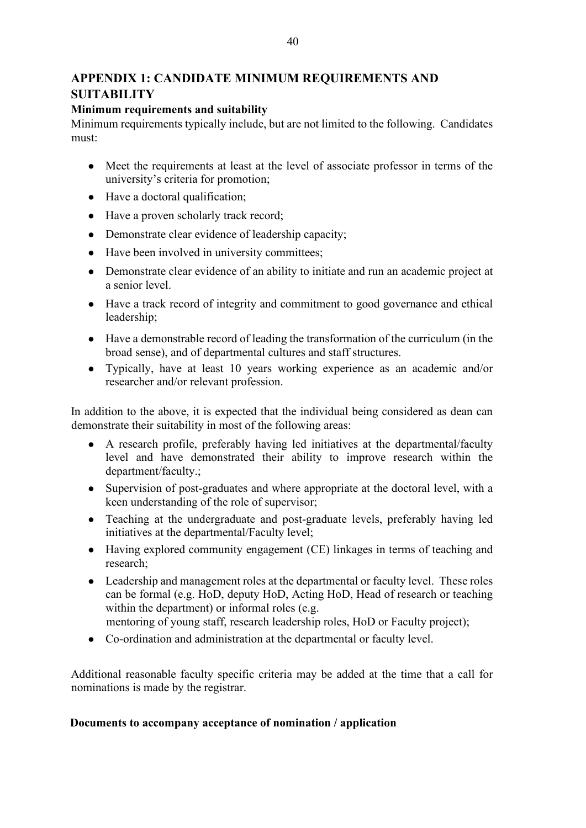### **APPENDIX 1: CANDIDATE MINIMUM REQUIREMENTS AND SUITABILITY**

### **Minimum requirements and suitability**

Minimum requirements typically include, but are not limited to the following. Candidates must:

- Meet the requirements at least at the level of associate professor in terms of the university's criteria for promotion;
- Have a doctoral qualification;
- Have a proven scholarly track record;
- Demonstrate clear evidence of leadership capacity;
- Have been involved in university committees;
- Demonstrate clear evidence of an ability to initiate and run an academic project at a senior level.
- Have a track record of integrity and commitment to good governance and ethical leadership;
- Have a demonstrable record of leading the transformation of the curriculum (in the broad sense), and of departmental cultures and staff structures.
- Typically, have at least 10 years working experience as an academic and/or researcher and/or relevant profession.

In addition to the above, it is expected that the individual being considered as dean can demonstrate their suitability in most of the following areas:

- A research profile, preferably having led initiatives at the departmental/faculty level and have demonstrated their ability to improve research within the department/faculty.;
- Supervision of post-graduates and where appropriate at the doctoral level, with a keen understanding of the role of supervisor;
- Teaching at the undergraduate and post-graduate levels, preferably having led initiatives at the departmental/Faculty level;
- Having explored community engagement (CE) linkages in terms of teaching and research;
- Leadership and management roles at the departmental or faculty level. These roles can be formal (e.g. HoD, deputy HoD, Acting HoD, Head of research or teaching within the department) or informal roles (e.g.
- mentoring of young staff, research leadership roles, HoD or Faculty project);
- Co-ordination and administration at the departmental or faculty level.

Additional reasonable faculty specific criteria may be added at the time that a call for nominations is made by the registrar.

### **Documents to accompany acceptance of nomination / application**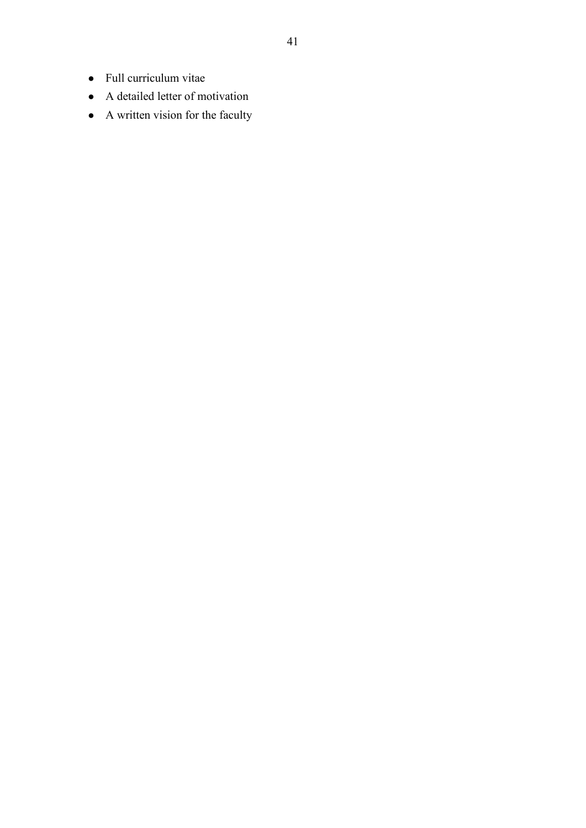- Full curriculum vitae
- A detailed letter of motivation
- A written vision for the faculty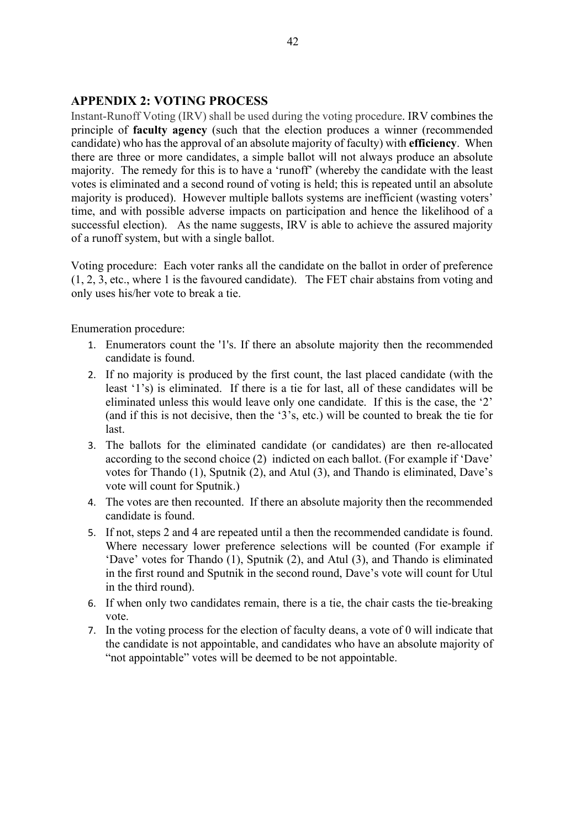### **APPENDIX 2: VOTING PROCESS**

Instant-Runoff Voting (IRV) shall be used during the voting procedure. IRV combines the principle of **faculty agency** (such that the election produces a winner (recommended candidate) who has the approval of an absolute majority of faculty) with **efficiency**. When there are three or more candidates, a simple ballot will not always produce an absolute majority. The remedy for this is to have a 'runoff' (whereby the candidate with the least votes is eliminated and a second round of voting is held; this is repeated until an absolute majority is produced). However multiple ballots systems are inefficient (wasting voters' time, and with possible adverse impacts on participation and hence the likelihood of a successful election). As the name suggests, IRV is able to achieve the assured majority of a runoff system, but with a single ballot.

Voting procedure: Each voter ranks all the candidate on the ballot in order of preference (1, 2, 3, etc., where 1 is the favoured candidate). The FET chair abstains from voting and only uses his/her vote to break a tie.

Enumeration procedure:

- 1. Enumerators count the '1's. If there an absolute majority then the recommended candidate is found.
- 2. If no majority is produced by the first count, the last placed candidate (with the least '1's) is eliminated. If there is a tie for last, all of these candidates will be eliminated unless this would leave only one candidate. If this is the case, the '2' (and if this is not decisive, then the '3's, etc.) will be counted to break the tie for last.
- 3. The ballots for the eliminated candidate (or candidates) are then re-allocated according to the second choice (2) indicted on each ballot. (For example if 'Dave' votes for Thando (1), Sputnik (2), and Atul (3), and Thando is eliminated, Dave's vote will count for Sputnik.)
- 4. The votes are then recounted. If there an absolute majority then the recommended candidate is found.
- 5. If not, steps 2 and 4 are repeated until a then the recommended candidate is found. Where necessary lower preference selections will be counted (For example if 'Dave' votes for Thando (1), Sputnik (2), and Atul (3), and Thando is eliminated in the first round and Sputnik in the second round, Dave's vote will count for Utul in the third round).
- 6. If when only two candidates remain, there is a tie, the chair casts the tie-breaking vote.
- 7. In the voting process for the election of faculty deans, a vote of 0 will indicate that the candidate is not appointable, and candidates who have an absolute majority of "not appointable" votes will be deemed to be not appointable.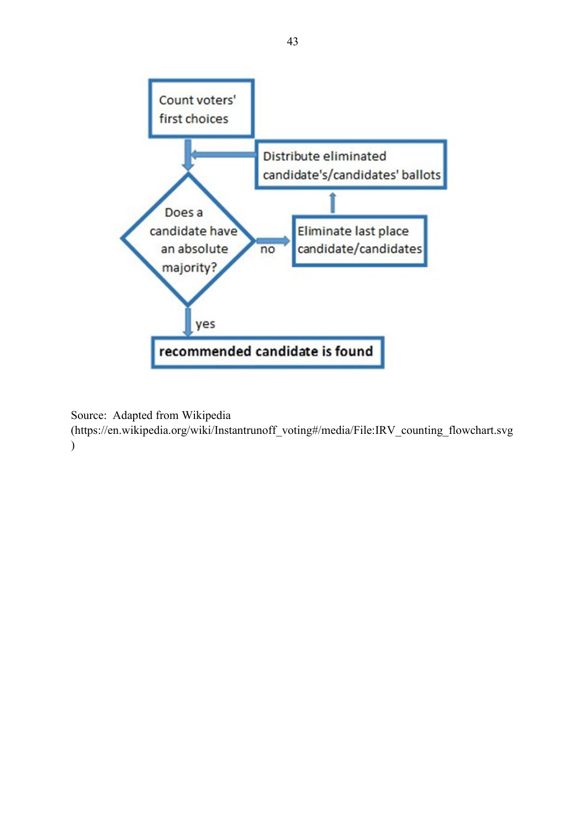

Source: Adapted from Wikipedia

(https://en.wikipedia.org/wiki/Instantrunoff\_voting#/media/File:IRV\_counting\_flowchart.svg )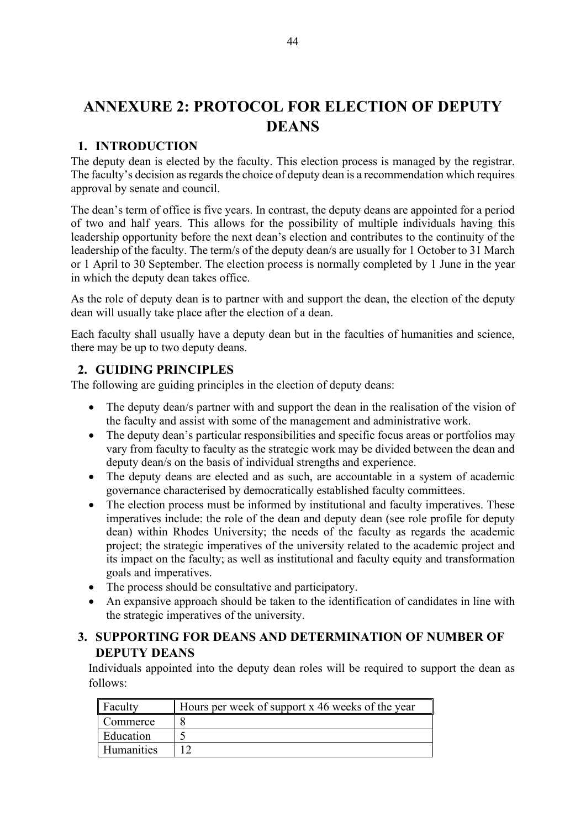### **ANNEXURE 2: PROTOCOL FOR ELECTION OF DEPUTY DEANS**

### **1. INTRODUCTION**

The deputy dean is elected by the faculty. This election process is managed by the registrar. The faculty's decision as regards the choice of deputy dean is a recommendation which requires approval by senate and council.

The dean's term of office is five years. In contrast, the deputy deans are appointed for a period of two and half years. This allows for the possibility of multiple individuals having this leadership opportunity before the next dean's election and contributes to the continuity of the leadership of the faculty. The term/s of the deputy dean/s are usually for 1 October to 31 March or 1 April to 30 September. The election process is normally completed by 1 June in the year in which the deputy dean takes office.

As the role of deputy dean is to partner with and support the dean, the election of the deputy dean will usually take place after the election of a dean.

Each faculty shall usually have a deputy dean but in the faculties of humanities and science, there may be up to two deputy deans.

### **2. GUIDING PRINCIPLES**

The following are guiding principles in the election of deputy deans:

- The deputy dean/s partner with and support the dean in the realisation of the vision of the faculty and assist with some of the management and administrative work.
- The deputy dean's particular responsibilities and specific focus areas or portfolios may vary from faculty to faculty as the strategic work may be divided between the dean and deputy dean/s on the basis of individual strengths and experience.
- The deputy deans are elected and as such, are accountable in a system of academic governance characterised by democratically established faculty committees.
- The election process must be informed by institutional and faculty imperatives. These imperatives include: the role of the dean and deputy dean (see role profile for deputy dean) within Rhodes University; the needs of the faculty as regards the academic project; the strategic imperatives of the university related to the academic project and its impact on the faculty; as well as institutional and faculty equity and transformation goals and imperatives.
- The process should be consultative and participatory.
- An expansive approach should be taken to the identification of candidates in line with the strategic imperatives of the university.

### **3. SUPPORTING FOR DEANS AND DETERMINATION OF NUMBER OF DEPUTY DEANS**

Individuals appointed into the deputy dean roles will be required to support the dean as follows:

| <b>Faculty</b> | Hours per week of support x 46 weeks of the year |
|----------------|--------------------------------------------------|
| Commerce       |                                                  |
| Education      |                                                  |
| Humanities     |                                                  |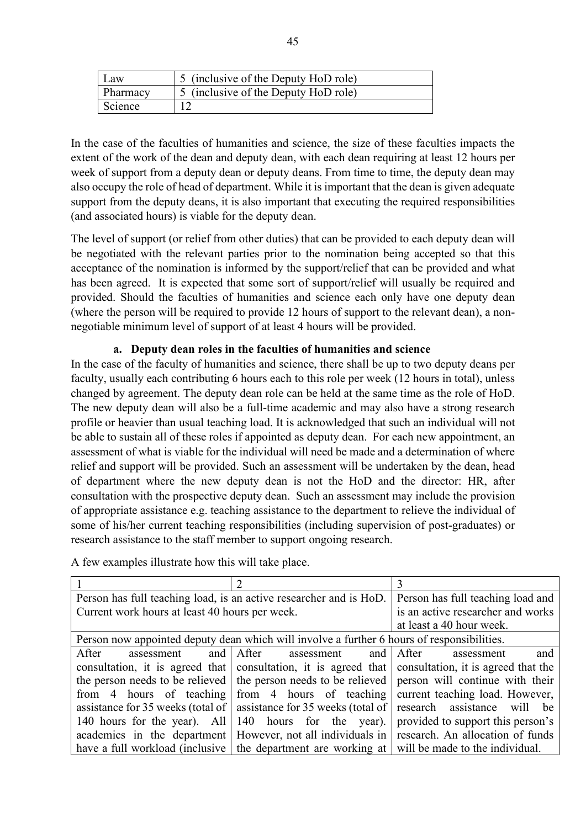| Law      | 5 (inclusive of the Deputy HoD role) |
|----------|--------------------------------------|
| Pharmacy | 5 (inclusive of the Deputy HoD role) |
| Science  |                                      |

In the case of the faculties of humanities and science, the size of these faculties impacts the extent of the work of the dean and deputy dean, with each dean requiring at least 12 hours per week of support from a deputy dean or deputy deans. From time to time, the deputy dean may also occupy the role of head of department. While it is important that the dean is given adequate support from the deputy deans, it is also important that executing the required responsibilities (and associated hours) is viable for the deputy dean.

The level of support (or relief from other duties) that can be provided to each deputy dean will be negotiated with the relevant parties prior to the nomination being accepted so that this acceptance of the nomination is informed by the support/relief that can be provided and what has been agreed. It is expected that some sort of support/relief will usually be required and provided. Should the faculties of humanities and science each only have one deputy dean (where the person will be required to provide 12 hours of support to the relevant dean), a nonnegotiable minimum level of support of at least 4 hours will be provided.

### **a. Deputy dean roles in the faculties of humanities and science**

In the case of the faculty of humanities and science, there shall be up to two deputy deans per faculty, usually each contributing 6 hours each to this role per week (12 hours in total), unless changed by agreement. The deputy dean role can be held at the same time as the role of HoD. The new deputy dean will also be a full-time academic and may also have a strong research profile or heavier than usual teaching load. It is acknowledged that such an individual will not be able to sustain all of these roles if appointed as deputy dean. For each new appointment, an assessment of what is viable for the individual will need be made and a determination of where relief and support will be provided. Such an assessment will be undertaken by the dean, head of department where the new deputy dean is not the HoD and the director: HR, after consultation with the prospective deputy dean. Such an assessment may include the provision of appropriate assistance e.g. teaching assistance to the department to relieve the individual of some of his/her current teaching responsibilities (including supervision of post-graduates) or research assistance to the staff member to support ongoing research.

| Person has full teaching load, is an active researcher and is HoD. | Person has full teaching load and                                                             |                                                                                                     |
|--------------------------------------------------------------------|-----------------------------------------------------------------------------------------------|-----------------------------------------------------------------------------------------------------|
| Current work hours at least 40 hours per week.                     |                                                                                               | is an active researcher and works                                                                   |
|                                                                    |                                                                                               | at least a 40 hour week.                                                                            |
|                                                                    | Person now appointed deputy dean which will involve a further 6 hours of responsibilities.    |                                                                                                     |
| After<br>assessment                                                | and After assessment                                                                          | and<br>and After<br>assessment                                                                      |
|                                                                    |                                                                                               | consultation, it is agreed that consultation, it is agreed that consultation, it is agreed that the |
|                                                                    |                                                                                               | the person needs to be relieved   the person needs to be relieved   person will continue with their |
|                                                                    | from 4 hours of teaching from 4 hours of teaching                                             | current teaching load. However,                                                                     |
| assistance for 35 weeks (total of                                  | assistance for 35 weeks (total of                                                             | research assistance will be                                                                         |
| 140 hours for the year). All                                       | 140 hours for the year).                                                                      | provided to support this person's                                                                   |
| academics in the department                                        | However, not all individuals in                                                               | research. An allocation of funds                                                                    |
|                                                                    | have a full workload (inclusive the department are working at will be made to the individual. |                                                                                                     |
|                                                                    |                                                                                               |                                                                                                     |

A few examples illustrate how this will take place.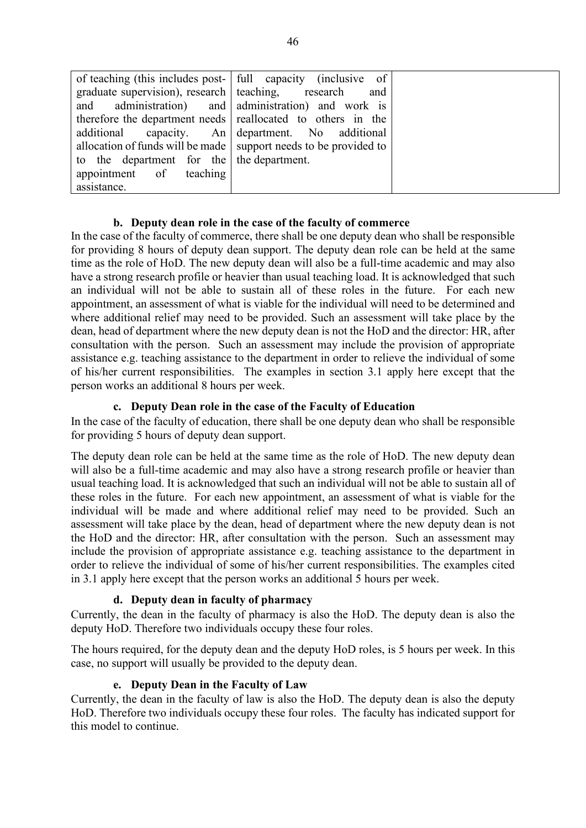|                                                      | of teaching (this includes post-   full capacity (inclusive of     |
|------------------------------------------------------|--------------------------------------------------------------------|
| graduate supervision), research   teaching, research | and                                                                |
|                                                      | and administration) and administration) and work is                |
|                                                      | therefore the department needs reallocated to others in the        |
|                                                      | additional capacity. An department. No additional                  |
|                                                      | allocation of funds will be made   support needs to be provided to |
| to the department for the the department.            |                                                                    |
| appointment of teaching                              |                                                                    |
| assistance.                                          |                                                                    |

### **b. Deputy dean role in the case of the faculty of commerce**

In the case of the faculty of commerce, there shall be one deputy dean who shall be responsible for providing 8 hours of deputy dean support. The deputy dean role can be held at the same time as the role of HoD. The new deputy dean will also be a full-time academic and may also have a strong research profile or heavier than usual teaching load. It is acknowledged that such an individual will not be able to sustain all of these roles in the future. For each new appointment, an assessment of what is viable for the individual will need to be determined and where additional relief may need to be provided. Such an assessment will take place by the dean, head of department where the new deputy dean is not the HoD and the director: HR, after consultation with the person. Such an assessment may include the provision of appropriate assistance e.g. teaching assistance to the department in order to relieve the individual of some of his/her current responsibilities. The examples in section 3.1 apply here except that the person works an additional 8 hours per week.

### **c. Deputy Dean role in the case of the Faculty of Education**

In the case of the faculty of education, there shall be one deputy dean who shall be responsible for providing 5 hours of deputy dean support.

The deputy dean role can be held at the same time as the role of HoD. The new deputy dean will also be a full-time academic and may also have a strong research profile or heavier than usual teaching load. It is acknowledged that such an individual will not be able to sustain all of these roles in the future. For each new appointment, an assessment of what is viable for the individual will be made and where additional relief may need to be provided. Such an assessment will take place by the dean, head of department where the new deputy dean is not the HoD and the director: HR, after consultation with the person. Such an assessment may include the provision of appropriate assistance e.g. teaching assistance to the department in order to relieve the individual of some of his/her current responsibilities. The examples cited in 3.1 apply here except that the person works an additional 5 hours per week.

### **d. Deputy dean in faculty of pharmacy**

Currently, the dean in the faculty of pharmacy is also the HoD. The deputy dean is also the deputy HoD. Therefore two individuals occupy these four roles.

The hours required, for the deputy dean and the deputy HoD roles, is 5 hours per week. In this case, no support will usually be provided to the deputy dean.

### **e. Deputy Dean in the Faculty of Law**

Currently, the dean in the faculty of law is also the HoD. The deputy dean is also the deputy HoD. Therefore two individuals occupy these four roles. The faculty has indicated support for this model to continue.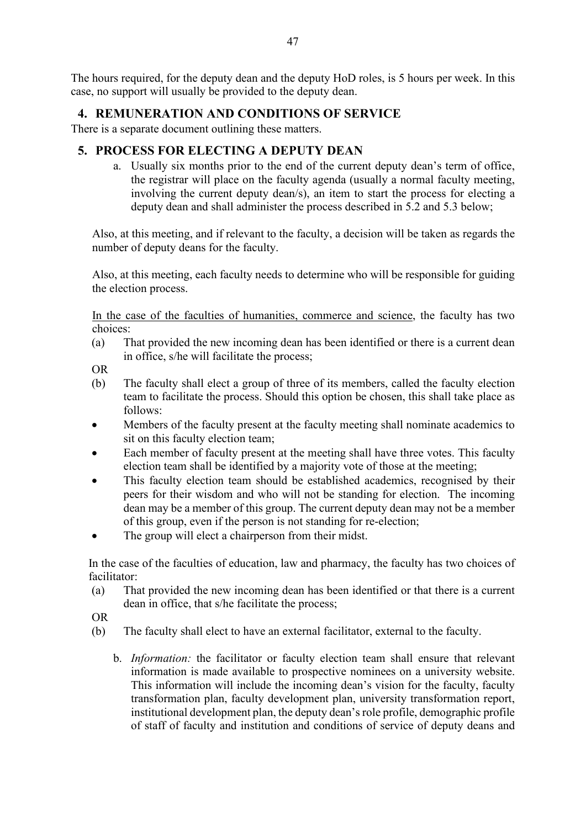The hours required, for the deputy dean and the deputy HoD roles, is 5 hours per week. In this case, no support will usually be provided to the deputy dean.

### **4. REMUNERATION AND CONDITIONS OF SERVICE**

There is a separate document outlining these matters.

### **5. PROCESS FOR ELECTING A DEPUTY DEAN**

a. Usually six months prior to the end of the current deputy dean's term of office, the registrar will place on the faculty agenda (usually a normal faculty meeting, involving the current deputy dean/s), an item to start the process for electing a deputy dean and shall administer the process described in 5.2 and 5.3 below;

Also, at this meeting, and if relevant to the faculty, a decision will be taken as regards the number of deputy deans for the faculty.

Also, at this meeting, each faculty needs to determine who will be responsible for guiding the election process.

In the case of the faculties of humanities, commerce and science, the faculty has two choices:

(a) That provided the new incoming dean has been identified or there is a current dean in office, s/he will facilitate the process;

OR

- (b) The faculty shall elect a group of three of its members, called the faculty election team to facilitate the process. Should this option be chosen, this shall take place as follows:
- Members of the faculty present at the faculty meeting shall nominate academics to sit on this faculty election team;
- Each member of faculty present at the meeting shall have three votes. This faculty election team shall be identified by a majority vote of those at the meeting;
- This faculty election team should be established academics, recognised by their peers for their wisdom and who will not be standing for election. The incoming dean may be a member of this group. The current deputy dean may not be a member of this group, even if the person is not standing for re-election;
- The group will elect a chairperson from their midst.

In the case of the faculties of education, law and pharmacy, the faculty has two choices of facilitator:

- (a) That provided the new incoming dean has been identified or that there is a current dean in office, that s/he facilitate the process;
- OR
- (b) The faculty shall elect to have an external facilitator, external to the faculty.
	- b. *Information:* the facilitator or faculty election team shall ensure that relevant information is made available to prospective nominees on a university website. This information will include the incoming dean's vision for the faculty, faculty transformation plan, faculty development plan, university transformation report, institutional development plan, the deputy dean's role profile, demographic profile of staff of faculty and institution and conditions of service of deputy deans and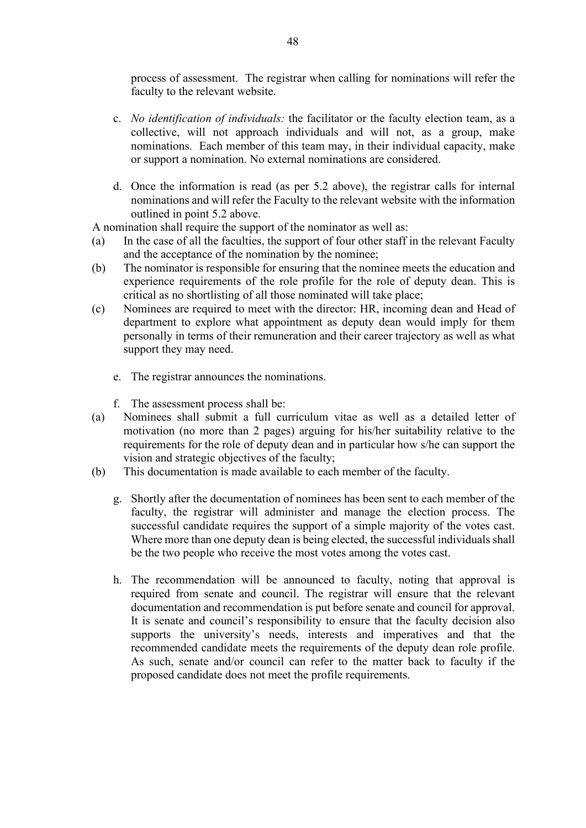process of assessment. The registrar when calling for nominations will refer the faculty to the relevant website.

- c. *No identification of individuals:* the facilitator or the faculty election team, as a collective, will not approach individuals and will not, as a group, make nominations. Each member of this team may, in their individual capacity, make or support a nomination. No external nominations are considered.
- d. Once the information is read (as per 5.2 above), the registrar calls for internal nominations and will refer the Faculty to the relevant website with the information outlined in point 5.2 above.

A nomination shall require the support of the nominator as well as:

- (a) In the case of all the faculties, the support of four other staff in the relevant Faculty and the acceptance of the nomination by the nominee;
- (b) The nominator is responsible for ensuring that the nominee meets the education and experience requirements of the role profile for the role of deputy dean. This is critical as no shortlisting of all those nominated will take place;
- (c) Nominees are required to meet with the director: HR, incoming dean and Head of department to explore what appointment as deputy dean would imply for them personally in terms of their remuneration and their career trajectory as well as what support they may need.
	- e. The registrar announces the nominations.
	- f. The assessment process shall be:
- (a) Nominees shall submit a full curriculum vitae as well as a detailed letter of motivation (no more than 2 pages) arguing for his/her suitability relative to the requirements for the role of deputy dean and in particular how s/he can support the vision and strategic objectives of the faculty;
- (b) This documentation is made available to each member of the faculty.
	- g. Shortly after the documentation of nominees has been sent to each member of the faculty, the registrar will administer and manage the election process. The successful candidate requires the support of a simple majority of the votes cast. Where more than one deputy dean is being elected, the successful individuals shall be the two people who receive the most votes among the votes cast.
	- h. The recommendation will be announced to faculty, noting that approval is required from senate and council. The registrar will ensure that the relevant documentation and recommendation is put before senate and council for approval. It is senate and council's responsibility to ensure that the faculty decision also supports the university's needs, interests and imperatives and that the recommended candidate meets the requirements of the deputy dean role profile. As such, senate and/or council can refer to the matter back to faculty if the proposed candidate does not meet the profile requirements.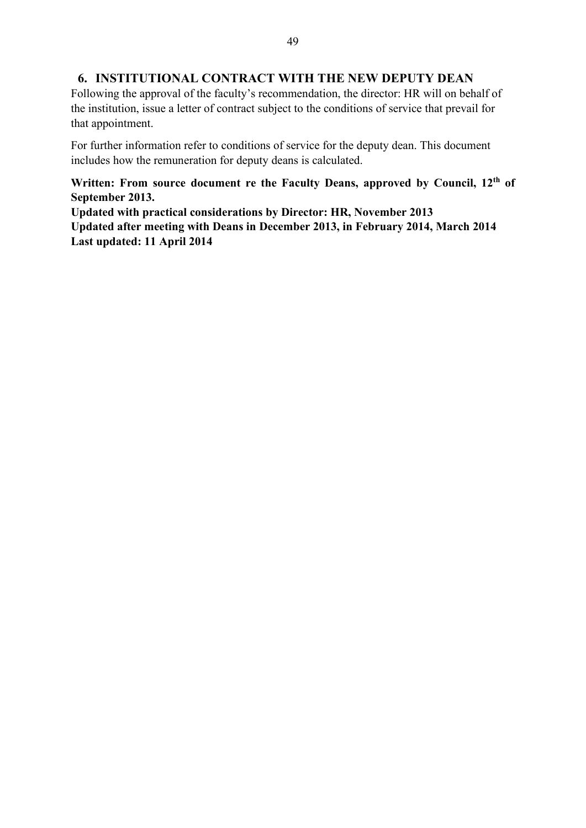### **6. INSTITUTIONAL CONTRACT WITH THE NEW DEPUTY DEAN**

Following the approval of the faculty's recommendation, the director: HR will on behalf of the institution, issue a letter of contract subject to the conditions of service that prevail for that appointment.

For further information refer to conditions of service for the deputy dean. This document includes how the remuneration for deputy deans is calculated.

**Written: From source document re the Faculty Deans, approved by Council, 12th of September 2013.** 

**Updated with practical considerations by Director: HR, November 2013 Updated after meeting with Deans in December 2013, in February 2014, March 2014 Last updated: 11 April 2014**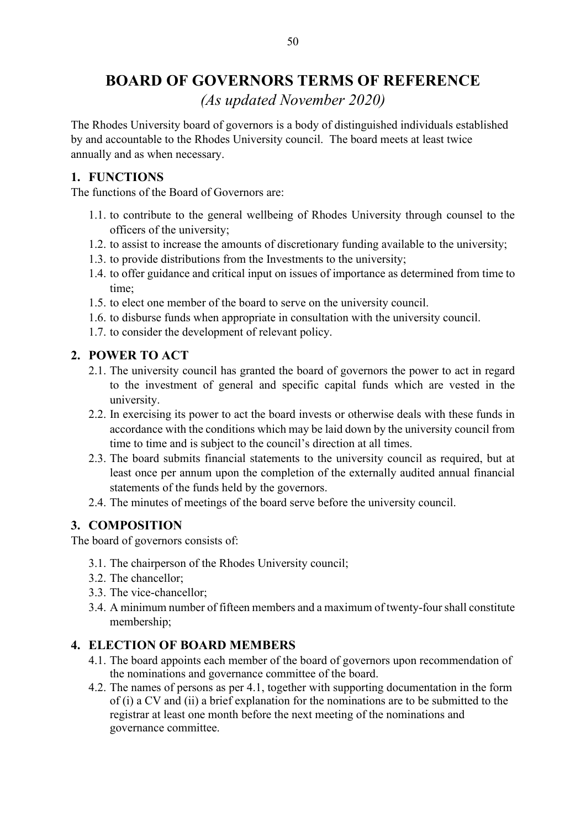### **BOARD OF GOVERNORS TERMS OF REFERENCE**

*(As updated November 2020)*

The Rhodes University board of governors is a body of distinguished individuals established by and accountable to the Rhodes University council. The board meets at least twice annually and as when necessary.

### **1. FUNCTIONS**

The functions of the Board of Governors are:

- 1.1. to contribute to the general wellbeing of Rhodes University through counsel to the officers of the university;
- 1.2. to assist to increase the amounts of discretionary funding available to the university;
- 1.3. to provide distributions from the Investments to the university;
- 1.4. to offer guidance and critical input on issues of importance as determined from time to time;
- 1.5. to elect one member of the board to serve on the university council.
- 1.6. to disburse funds when appropriate in consultation with the university council.
- 1.7. to consider the development of relevant policy.

### **2. POWER TO ACT**

- 2.1. The university council has granted the board of governors the power to act in regard to the investment of general and specific capital funds which are vested in the university.
- 2.2. In exercising its power to act the board invests or otherwise deals with these funds in accordance with the conditions which may be laid down by the university council from time to time and is subject to the council's direction at all times.
- 2.3. The board submits financial statements to the university council as required, but at least once per annum upon the completion of the externally audited annual financial statements of the funds held by the governors.
- 2.4. The minutes of meetings of the board serve before the university council.

### **3. COMPOSITION**

The board of governors consists of:

- 3.1. The chairperson of the Rhodes University council;
- 3.2. The chancellor;
- 3.3. The vice-chancellor;
- 3.4. A minimum number of fifteen members and a maximum of twenty-four shall constitute membership;

### **4. ELECTION OF BOARD MEMBERS**

- 4.1. The board appoints each member of the board of governors upon recommendation of the nominations and governance committee of the board.
- 4.2. The names of persons as per 4.1, together with supporting documentation in the form of (i) a CV and (ii) a brief explanation for the nominations are to be submitted to the registrar at least one month before the next meeting of the nominations and governance committee.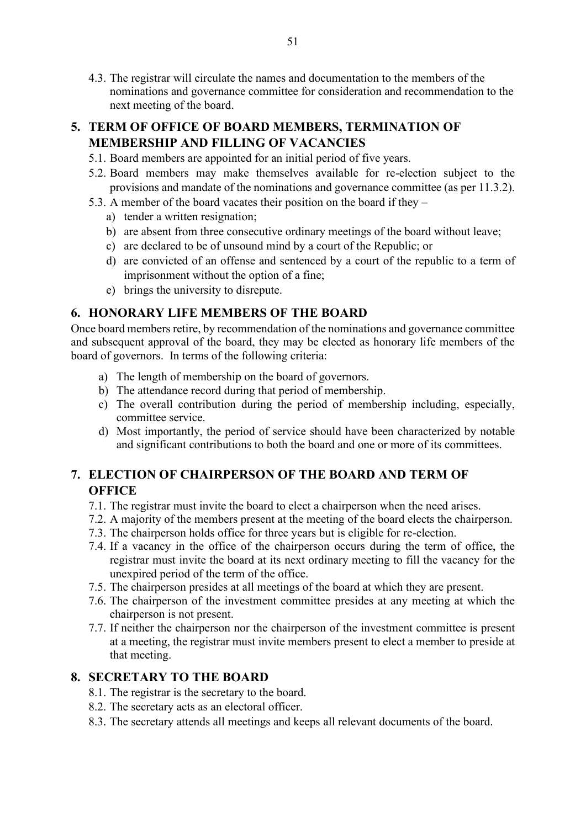4.3. The registrar will circulate the names and documentation to the members of the nominations and governance committee for consideration and recommendation to the next meeting of the board.

### **5. TERM OF OFFICE OF BOARD MEMBERS, TERMINATION OF MEMBERSHIP AND FILLING OF VACANCIES**

- 5.1. Board members are appointed for an initial period of five years.
- 5.2. Board members may make themselves available for re-election subject to the provisions and mandate of the nominations and governance committee (as per 11.3.2).
- 5.3. A member of the board vacates their position on the board if they
	- a) tender a written resignation;
	- b) are absent from three consecutive ordinary meetings of the board without leave;
	- c) are declared to be of unsound mind by a court of the Republic; or
	- d) are convicted of an offense and sentenced by a court of the republic to a term of imprisonment without the option of a fine;
	- e) brings the university to disrepute.

### **6. HONORARY LIFE MEMBERS OF THE BOARD**

Once board members retire, by recommendation of the nominations and governance committee and subsequent approval of the board, they may be elected as honorary life members of the board of governors. In terms of the following criteria:

- a) The length of membership on the board of governors.
- b) The attendance record during that period of membership.
- c) The overall contribution during the period of membership including, especially, committee service.
- d) Most importantly, the period of service should have been characterized by notable and significant contributions to both the board and one or more of its committees.

### **7. ELECTION OF CHAIRPERSON OF THE BOARD AND TERM OF OFFICE**

- 7.1. The registrar must invite the board to elect a chairperson when the need arises.
- 7.2. A majority of the members present at the meeting of the board elects the chairperson.
- 7.3. The chairperson holds office for three years but is eligible for re-election.
- 7.4. If a vacancy in the office of the chairperson occurs during the term of office, the registrar must invite the board at its next ordinary meeting to fill the vacancy for the unexpired period of the term of the office.
- 7.5. The chairperson presides at all meetings of the board at which they are present.
- 7.6. The chairperson of the investment committee presides at any meeting at which the chairperson is not present.
- 7.7. If neither the chairperson nor the chairperson of the investment committee is present at a meeting, the registrar must invite members present to elect a member to preside at that meeting.

### **8. SECRETARY TO THE BOARD**

- 8.1. The registrar is the secretary to the board.
- 8.2. The secretary acts as an electoral officer.
- 8.3. The secretary attends all meetings and keeps all relevant documents of the board.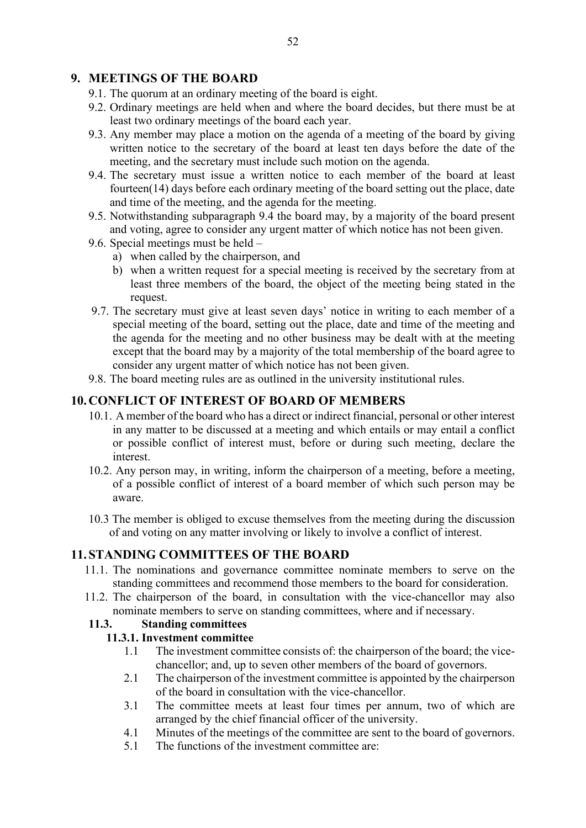### **9. MEETINGS OF THE BOARD**

- 9.1. The quorum at an ordinary meeting of the board is eight.
- 9.2. Ordinary meetings are held when and where the board decides, but there must be at least two ordinary meetings of the board each year.
- 9.3. Any member may place a motion on the agenda of a meeting of the board by giving written notice to the secretary of the board at least ten days before the date of the meeting, and the secretary must include such motion on the agenda.
- 9.4. The secretary must issue a written notice to each member of the board at least fourteen(14) days before each ordinary meeting of the board setting out the place, date and time of the meeting, and the agenda for the meeting.
- 9.5. Notwithstanding subparagraph 9.4 the board may, by a majority of the board present and voting, agree to consider any urgent matter of which notice has not been given.
- 9.6. Special meetings must be held
	- a) when called by the chairperson, and
	- b) when a written request for a special meeting is received by the secretary from at least three members of the board, the object of the meeting being stated in the request.
- 9.7. The secretary must give at least seven days' notice in writing to each member of a special meeting of the board, setting out the place, date and time of the meeting and the agenda for the meeting and no other business may be dealt with at the meeting except that the board may by a majority of the total membership of the board agree to consider any urgent matter of which notice has not been given.
- 9.8. The board meeting rules are as outlined in the university institutional rules.

### **10.CONFLICT OF INTEREST OF BOARD OF MEMBERS**

- 10.1. A member of the board who has a direct or indirect financial, personal or other interest in any matter to be discussed at a meeting and which entails or may entail a conflict or possible conflict of interest must, before or during such meeting, declare the interest.
- 10.2. Any person may, in writing, inform the chairperson of a meeting, before a meeting, of a possible conflict of interest of a board member of which such person may be aware.
- 10.3 The member is obliged to excuse themselves from the meeting during the discussion of and voting on any matter involving or likely to involve a conflict of interest.

### **11. STANDING COMMITTEES OF THE BOARD**

- 11.1. The nominations and governance committee nominate members to serve on the standing committees and recommend those members to the board for consideration.
- 11.2. The chairperson of the board, in consultation with the vice-chancellor may also nominate members to serve on standing committees, where and if necessary.

### **11.3. Standing committees**

### **11.3.1. Investment committee**

- 1.1 The investment committee consists of: the chairperson of the board; the vicechancellor; and, up to seven other members of the board of governors.
- 2.1 The chairperson of the investment committee is appointed by the chairperson of the board in consultation with the vice-chancellor.
- 3.1 The committee meets at least four times per annum, two of which are arranged by the chief financial officer of the university.
- 4.1 Minutes of the meetings of the committee are sent to the board of governors.
- 5.1 The functions of the investment committee are: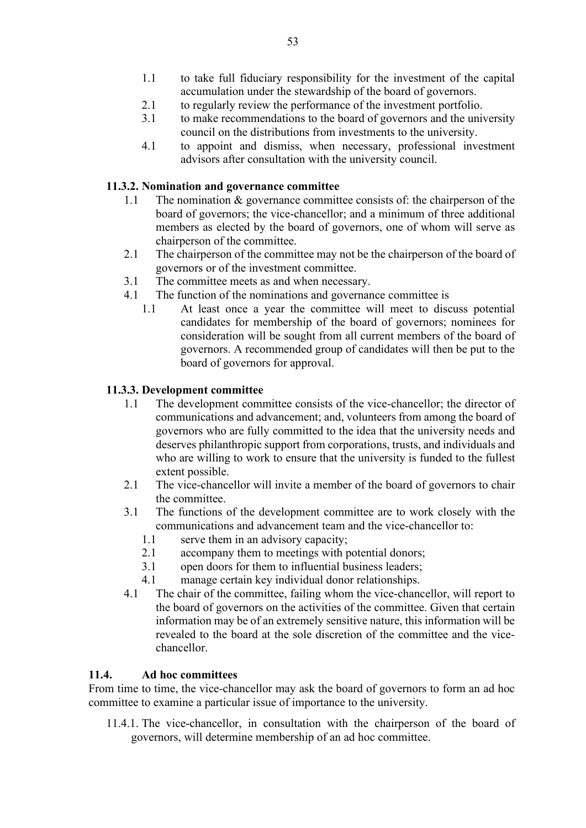- 1.1 to take full fiduciary responsibility for the investment of the capital accumulation under the stewardship of the board of governors.
- 2.1 to regularly review the performance of the investment portfolio.
- 3.1 to make recommendations to the board of governors and the university council on the distributions from investments to the university.
- 4.1 to appoint and dismiss, when necessary, professional investment advisors after consultation with the university council.

### **11.3.2. Nomination and governance committee**

- 1.1 The nomination & governance committee consists of: the chairperson of the board of governors; the vice-chancellor; and a minimum of three additional members as elected by the board of governors, one of whom will serve as chairperson of the committee.
- 2.1 The chairperson of the committee may not be the chairperson of the board of governors or of the investment committee.
- 3.1 The committee meets as and when necessary.
- 4.1 The function of the nominations and governance committee is
	- 1.1 At least once a year the committee will meet to discuss potential candidates for membership of the board of governors; nominees for consideration will be sought from all current members of the board of governors. A recommended group of candidates will then be put to the board of governors for approval.

### **11.3.3. Development committee**

- 1.1 The development committee consists of the vice-chancellor; the director of communications and advancement; and, volunteers from among the board of governors who are fully committed to the idea that the university needs and deserves philanthropic support from corporations, trusts, and individuals and who are willing to work to ensure that the university is funded to the fullest extent possible.
- 2.1 The vice-chancellor will invite a member of the board of governors to chair the committee.
- 3.1 The functions of the development committee are to work closely with the communications and advancement team and the vice-chancellor to:
	- 1.1 serve them in an advisory capacity;
	- 2.1 accompany them to meetings with potential donors;
	- 3.1 open doors for them to influential business leaders;
	- 4.1 manage certain key individual donor relationships.
- 4.1 The chair of the committee, failing whom the vice-chancellor, will report to the board of governors on the activities of the committee. Given that certain information may be of an extremely sensitive nature, this information will be revealed to the board at the sole discretion of the committee and the vicechancellor.

### **11.4. Ad hoc committees**

From time to time, the vice-chancellor may ask the board of governors to form an ad hoc committee to examine a particular issue of importance to the university.

11.4.1. The vice-chancellor, in consultation with the chairperson of the board of governors, will determine membership of an ad hoc committee.